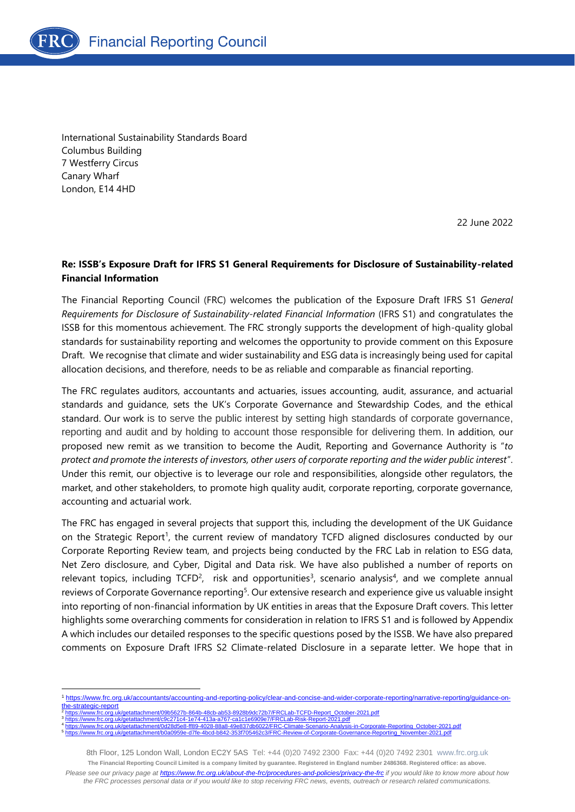

International Sustainability Standards Board Columbus Building 7 Westferry Circus Canary Wharf London, E14 4HD

22 June 2022

## **Re: ISSB's Exposure Draft for IFRS S1 General Requirements for Disclosure of Sustainability-related Financial Information**

The Financial Reporting Council (FRC) welcomes the publication of the Exposure Draft IFRS S1 *General Requirements for Disclosure of Sustainability-related Financial Information* (IFRS S1) and congratulates the ISSB for this momentous achievement. The FRC strongly supports the development of high-quality global standards for sustainability reporting and welcomes the opportunity to provide comment on this Exposure Draft. We recognise that climate and wider sustainability and ESG data is increasingly being used for capital allocation decisions, and therefore, needs to be as reliable and comparable as financial reporting.

The FRC regulates auditors, accountants and actuaries, issues accounting, audit, assurance, and actuarial standards and guidance, sets the UK's Corporate Governance and Stewardship Codes, and the ethical standard. Our work is to serve the public interest by setting high standards of corporate governance, reporting and audit and by holding to account those responsible for delivering them. In addition, our proposed new remit as we transition to become the Audit, Reporting and Governance Authority is "*to protect and promote the interests of investors, other users of corporate reporting and the wider public interest*". Under this remit, our objective is to leverage our role and responsibilities, alongside other regulators, the market, and other stakeholders, to promote high quality audit, corporate reporting, corporate governance, accounting and actuarial work.

The FRC has engaged in several projects that support this, including the development of the UK Guidance on the Strategic Report<sup>1</sup>, the current review of mandatory TCFD aligned disclosures conducted by our Corporate Reporting Review team, and projects being conducted by the FRC Lab in relation to ESG data, Net Zero disclosure, and Cyber, Digital and Data risk. We have also published a number of reports on relevant topics, including TCFD<sup>2</sup>, risk and opportunities<sup>3</sup>, scenario analysis<sup>4</sup>, and we complete annual reviews of Corporate Governance reporting<sup>5</sup>. Our extensive research and experience give us valuable insight into reporting of non-financial information by UK entities in areas that the Exposure Draft covers. This letter highlights some overarching comments for consideration in relation to IFRS S1 and is followed by Appendix A which includes our detailed responses to the specific questions posed by the ISSB. We have also prepared comments on Exposure Draft IFRS S2 Climate-related Disclosure in a separate letter. We hope that in

- [the-strategic-report](https://www.frc.org.uk/accountants/accounting-and-reporting-policy/clear-and-concise-and-wider-corporate-reporting/narrative-reporting/guidance-on-the-strategic-report) [https://www.frc.org.uk/getattachment/09b5627b-864b-48cb-ab53-8928b9dc72b7/FRCLab-TCFD-Report\\_October-2021.pdf](https://www.frc.org.uk/getattachment/09b5627b-864b-48cb-ab53-8928b9dc72b7/FRCLab-TCFD-Report_October-2021.pdf) 3 <https://www.frc.org.uk/getattachment/c9c271c4-1e74-413a-a767-ca1c1e6909e7/FRCLab-Risk-Report-2021.pdf>
- 4 [https://www.frc.org.uk/getattachment/0d28d5e8-ff89-4028-88a8-49e837db6022/FRC-Climate-Scenario-Analysis-in-Corporate-Reporting\\_October-2021.pdf](https://www.frc.org.uk/getattachment/0d28d5e8-ff89-4028-88a8-49e837db6022/FRC-Climate-Scenario-Analysis-in-Corporate-Reporting_October-2021.pdf)<br>https://www.frc.org.uk/getattachment/b0a0959e-d7fe-4bcd-b842-353f705462c3/FRC-5 medications.com/ment/b0a0959e-d7fe-4bcd-b842-353f705462c3/FRC-Revie

<sup>1</sup> [https://www.frc.org.uk/accountants/accounting-and-reporting-policy/clear-and-concise-and-wider-corporate-reporting/narrative-reporting/guidance-on-](https://www.frc.org.uk/accountants/accounting-and-reporting-policy/clear-and-concise-and-wider-corporate-reporting/narrative-reporting/guidance-on-the-strategic-report)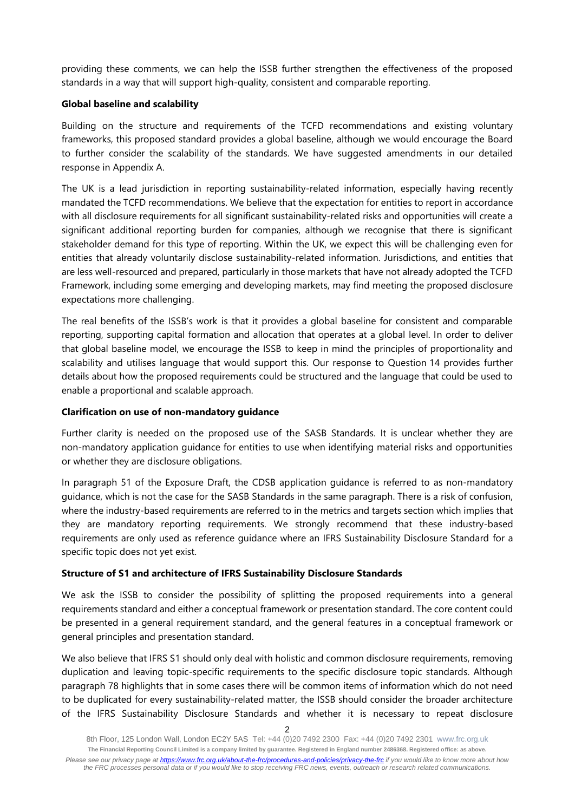providing these comments, we can help the ISSB further strengthen the effectiveness of the proposed standards in a way that will support high-quality, consistent and comparable reporting.

#### **Global baseline and scalability**

Building on the structure and requirements of the TCFD recommendations and existing voluntary frameworks, this proposed standard provides a global baseline, although we would encourage the Board to further consider the scalability of the standards. We have suggested amendments in our detailed response in Appendix A.

The UK is a lead jurisdiction in reporting sustainability-related information, especially having recently mandated the TCFD recommendations. We believe that the expectation for entities to report in accordance with all disclosure requirements for all significant sustainability-related risks and opportunities will create a significant additional reporting burden for companies, although we recognise that there is significant stakeholder demand for this type of reporting. Within the UK, we expect this will be challenging even for entities that already voluntarily disclose sustainability-related information. Jurisdictions, and entities that are less well-resourced and prepared, particularly in those markets that have not already adopted the TCFD Framework, including some emerging and developing markets, may find meeting the proposed disclosure expectations more challenging.

The real benefits of the ISSB's work is that it provides a global baseline for consistent and comparable reporting, supporting capital formation and allocation that operates at a global level. In order to deliver that global baseline model, we encourage the ISSB to keep in mind the principles of proportionality and scalability and utilises language that would support this. Our response to Question 14 provides further details about how the proposed requirements could be structured and the language that could be used to enable a proportional and scalable approach.

#### **Clarification on use of non-mandatory guidance**

Further clarity is needed on the proposed use of the SASB Standards. It is unclear whether they are non-mandatory application guidance for entities to use when identifying material risks and opportunities or whether they are disclosure obligations.

In paragraph 51 of the Exposure Draft, the CDSB application guidance is referred to as non-mandatory guidance, which is not the case for the SASB Standards in the same paragraph. There is a risk of confusion, where the industry-based requirements are referred to in the metrics and targets section which implies that they are mandatory reporting requirements. We strongly recommend that these industry-based requirements are only used as reference guidance where an IFRS Sustainability Disclosure Standard for a specific topic does not yet exist.

#### **Structure of S1 and architecture of IFRS Sustainability Disclosure Standards**

We ask the ISSB to consider the possibility of splitting the proposed requirements into a general requirements standard and either a conceptual framework or presentation standard. The core content could be presented in a general requirement standard, and the general features in a conceptual framework or general principles and presentation standard.

We also believe that IFRS S1 should only deal with holistic and common disclosure requirements, removing duplication and leaving topic-specific requirements to the specific disclosure topic standards. Although paragraph 78 highlights that in some cases there will be common items of information which do not need to be duplicated for every sustainability-related matter, the ISSB should consider the broader architecture of the IFRS Sustainability Disclosure Standards and whether it is necessary to repeat disclosure

8th Floor, 125 London Wall, London EC2Y 5AS Tel: +44 (0)20 7492 2300 Fax: +44 (0)20 7492 2301 [www.frc.org.uk](http://www.frc.org.uk/) **The Financial Reporting Council Limited is a company limited by guarantee. Registered in England number 2486368. Registered office: as above.** *Please see our privacy page at [https://www.frc.org.uk/about-the-frc/procedures-and-policies/privacy-the-frc](https://protect-eu.mimecast.com/s/meSwCVPQETYrOJIgd9IO) if you would like to know more about how the FRC processes personal data or if you would like to stop receiving FRC news, events, outreach or research related communications.*

<sup>2</sup>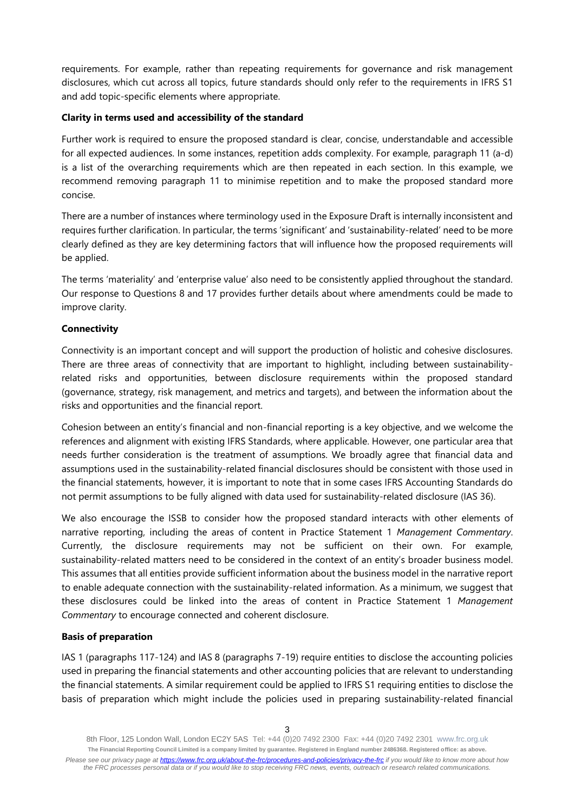requirements. For example, rather than repeating requirements for governance and risk management disclosures, which cut across all topics, future standards should only refer to the requirements in IFRS S1 and add topic-specific elements where appropriate.

## **Clarity in terms used and accessibility of the standard**

Further work is required to ensure the proposed standard is clear, concise, understandable and accessible for all expected audiences. In some instances, repetition adds complexity. For example, paragraph 11 (a-d) is a list of the overarching requirements which are then repeated in each section. In this example, we recommend removing paragraph 11 to minimise repetition and to make the proposed standard more concise.

There are a number of instances where terminology used in the Exposure Draft is internally inconsistent and requires further clarification. In particular, the terms 'significant' and 'sustainability-related' need to be more clearly defined as they are key determining factors that will influence how the proposed requirements will be applied.

The terms 'materiality' and 'enterprise value' also need to be consistently applied throughout the standard. Our response to Questions 8 and 17 provides further details about where amendments could be made to improve clarity.

## **Connectivity**

Connectivity is an important concept and will support the production of holistic and cohesive disclosures. There are three areas of connectivity that are important to highlight, including between sustainabilityrelated risks and opportunities, between disclosure requirements within the proposed standard (governance, strategy, risk management, and metrics and targets), and between the information about the risks and opportunities and the financial report.

Cohesion between an entity's financial and non-financial reporting is a key objective, and we welcome the references and alignment with existing IFRS Standards, where applicable. However, one particular area that needs further consideration is the treatment of assumptions. We broadly agree that financial data and assumptions used in the sustainability-related financial disclosures should be consistent with those used in the financial statements, however, it is important to note that in some cases IFRS Accounting Standards do not permit assumptions to be fully aligned with data used for sustainability-related disclosure (IAS 36).

We also encourage the ISSB to consider how the proposed standard interacts with other elements of narrative reporting, including the areas of content in Practice Statement 1 *Management Commentary*. Currently, the disclosure requirements may not be sufficient on their own. For example, sustainability-related matters need to be considered in the context of an entity's broader business model. This assumes that all entities provide sufficient information about the business model in the narrative report to enable adequate connection with the sustainability-related information. As a minimum, we suggest that these disclosures could be linked into the areas of content in Practice Statement 1 *Management Commentary* to encourage connected and coherent disclosure.

#### **Basis of preparation**

IAS 1 (paragraphs 117-124) and IAS 8 (paragraphs 7-19) require entities to disclose the accounting policies used in preparing the financial statements and other accounting policies that are relevant to understanding the financial statements. A similar requirement could be applied to IFRS S1 requiring entities to disclose the basis of preparation which might include the policies used in preparing sustainability-related financial

<sup>8</sup>th Floor, 125 London Wall, London EC2Y 5AS Tel: +44 (0)20 7492 2300 Fax: +44 (0)20 7492 2301 [www.frc.org.uk](http://www.frc.org.uk/) **The Financial Reporting Council Limited is a company limited by guarantee. Registered in England number 2486368. Registered office: as above.** *Please see our privacy page at [https://www.frc.org.uk/about-the-frc/procedures-and-policies/privacy-the-frc](https://protect-eu.mimecast.com/s/meSwCVPQETYrOJIgd9IO) if you would like to know more about how the FRC processes personal data or if you would like to stop receiving FRC news, events, outreach or research related communications.*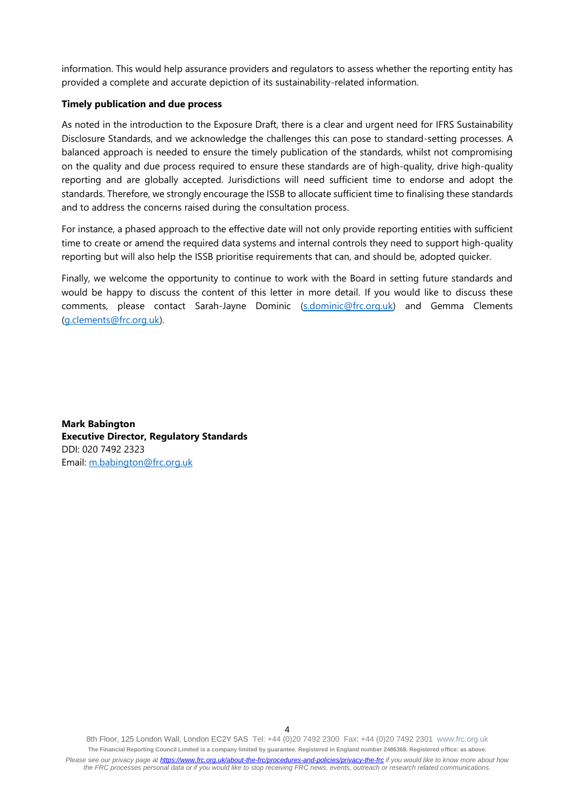information. This would help assurance providers and regulators to assess whether the reporting entity has provided a complete and accurate depiction of its sustainability-related information.

#### **Timely publication and due process**

As noted in the introduction to the Exposure Draft, there is a clear and urgent need for IFRS Sustainability Disclosure Standards, and we acknowledge the challenges this can pose to standard-setting processes. A balanced approach is needed to ensure the timely publication of the standards, whilst not compromising on the quality and due process required to ensure these standards are of high-quality, drive high-quality reporting and are globally accepted. Jurisdictions will need sufficient time to endorse and adopt the standards. Therefore, we strongly encourage the ISSB to allocate sufficient time to finalising these standards and to address the concerns raised during the consultation process.

For instance, a phased approach to the effective date will not only provide reporting entities with sufficient time to create or amend the required data systems and internal controls they need to support high-quality reporting but will also help the ISSB prioritise requirements that can, and should be, adopted quicker.

Finally, we welcome the opportunity to continue to work with the Board in setting future standards and would be happy to discuss the content of this letter in more detail. If you would like to discuss these comments, please contact Sarah-Jayne Dominic [\(s.dominic@frc.org.uk\)](mailto:s.dominic@frc.org.uk) and Gemma Clements [\(g.clements@frc.org.uk\)](mailto:g.clements@frc.org.uk).

**Mark Babington Executive Director, Regulatory Standards** DDI: 020 7492 2323 Email: [m.babington@frc.org.uk](mailto:m.babington@frc.org.uk)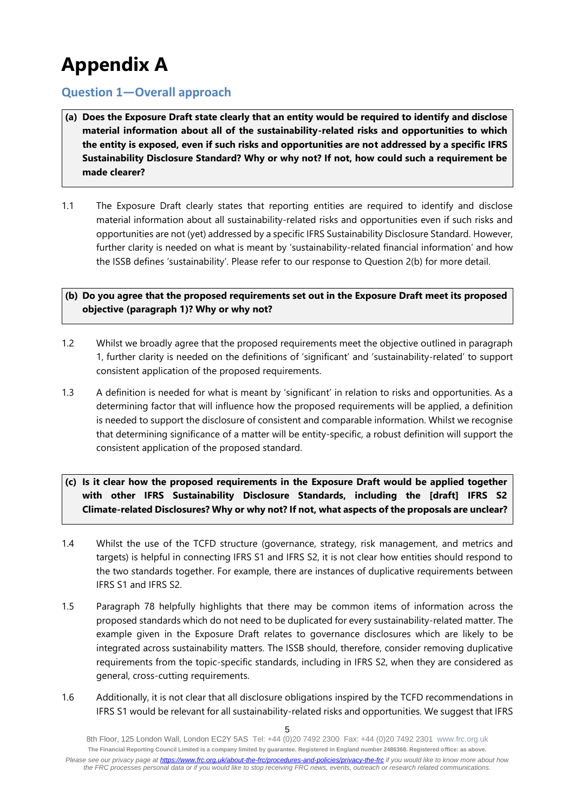# **Appendix A**

# **Question 1—Overall approach**

- **(a) Does the Exposure Draft state clearly that an entity would be required to identify and disclose material information about all of the sustainability-related risks and opportunities to which the entity is exposed, even if such risks and opportunities are not addressed by a specific IFRS Sustainability Disclosure Standard? Why or why not? If not, how could such a requirement be made clearer?**
- 1.1 The Exposure Draft clearly states that reporting entities are required to identify and disclose material information about all sustainability-related risks and opportunities even if such risks and opportunities are not (yet) addressed by a specific IFRS Sustainability Disclosure Standard. However, further clarity is needed on what is meant by 'sustainability-related financial information' and how the ISSB defines 'sustainability'. Please refer to our response to Question 2(b) for more detail.

## **(b) Do you agree that the proposed requirements set out in the Exposure Draft meet its proposed objective (paragraph 1)? Why or why not?**

- 1.2 Whilst we broadly agree that the proposed requirements meet the objective outlined in paragraph 1, further clarity is needed on the definitions of 'significant' and 'sustainability-related' to support consistent application of the proposed requirements.
- 1.3 A definition is needed for what is meant by 'significant' in relation to risks and opportunities. As a determining factor that will influence how the proposed requirements will be applied, a definition is needed to support the disclosure of consistent and comparable information. Whilst we recognise that determining significance of a matter will be entity-specific, a robust definition will support the consistent application of the proposed standard.
- **(c) Is it clear how the proposed requirements in the Exposure Draft would be applied together with other IFRS Sustainability Disclosure Standards, including the [draft] IFRS S2 Climate-related Disclosures? Why or why not? If not, what aspects of the proposals are unclear?**
- 1.4 Whilst the use of the TCFD structure (governance, strategy, risk management, and metrics and targets) is helpful in connecting IFRS S1 and IFRS S2, it is not clear how entities should respond to the two standards together. For example, there are instances of duplicative requirements between IFRS S1 and IFRS S2.
- 1.5 Paragraph 78 helpfully highlights that there may be common items of information across the proposed standards which do not need to be duplicated for every sustainability-related matter. The example given in the Exposure Draft relates to governance disclosures which are likely to be integrated across sustainability matters. The ISSB should, therefore, consider removing duplicative requirements from the topic-specific standards, including in IFRS S2, when they are considered as general, cross-cutting requirements.
- 1.6 Additionally, it is not clear that all disclosure obligations inspired by the TCFD recommendations in IFRS S1 would be relevant for all sustainability-related risks and opportunities. We suggest that IFRS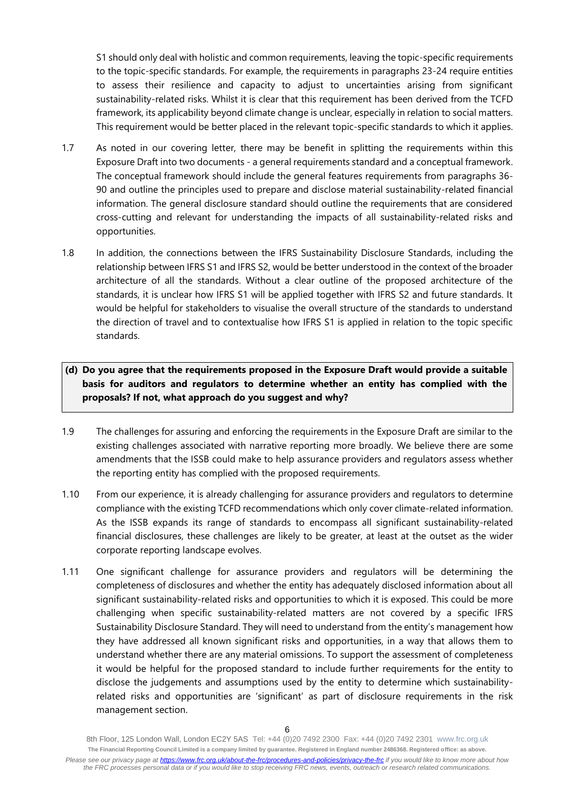S1 should only deal with holistic and common requirements, leaving the topic-specific requirements to the topic-specific standards. For example, the requirements in paragraphs 23-24 require entities to assess their resilience and capacity to adjust to uncertainties arising from significant sustainability-related risks. Whilst it is clear that this requirement has been derived from the TCFD framework, its applicability beyond climate change is unclear, especially in relation to social matters. This requirement would be better placed in the relevant topic-specific standards to which it applies.

- 1.7 As noted in our covering letter, there may be benefit in splitting the requirements within this Exposure Draft into two documents - a general requirements standard and a conceptual framework. The conceptual framework should include the general features requirements from paragraphs 36- 90 and outline the principles used to prepare and disclose material sustainability-related financial information. The general disclosure standard should outline the requirements that are considered cross-cutting and relevant for understanding the impacts of all sustainability-related risks and opportunities.
- 1.8 In addition, the connections between the IFRS Sustainability Disclosure Standards, including the relationship between IFRS S1 and IFRS S2, would be better understood in the context of the broader architecture of all the standards. Without a clear outline of the proposed architecture of the standards, it is unclear how IFRS S1 will be applied together with IFRS S2 and future standards. It would be helpful for stakeholders to visualise the overall structure of the standards to understand the direction of travel and to contextualise how IFRS S1 is applied in relation to the topic specific standards.

## **(d) Do you agree that the requirements proposed in the Exposure Draft would provide a suitable basis for auditors and regulators to determine whether an entity has complied with the proposals? If not, what approach do you suggest and why?**

- 1.9 The challenges for assuring and enforcing the requirements in the Exposure Draft are similar to the existing challenges associated with narrative reporting more broadly. We believe there are some amendments that the ISSB could make to help assurance providers and regulators assess whether the reporting entity has complied with the proposed requirements.
- 1.10 From our experience, it is already challenging for assurance providers and regulators to determine compliance with the existing TCFD recommendations which only cover climate-related information. As the ISSB expands its range of standards to encompass all significant sustainability-related financial disclosures, these challenges are likely to be greater, at least at the outset as the wider corporate reporting landscape evolves.
- 1.11 One significant challenge for assurance providers and regulators will be determining the completeness of disclosures and whether the entity has adequately disclosed information about all significant sustainability-related risks and opportunities to which it is exposed. This could be more challenging when specific sustainability-related matters are not covered by a specific IFRS Sustainability Disclosure Standard. They will need to understand from the entity's management how they have addressed all known significant risks and opportunities, in a way that allows them to understand whether there are any material omissions. To support the assessment of completeness it would be helpful for the proposed standard to include further requirements for the entity to disclose the judgements and assumptions used by the entity to determine which sustainabilityrelated risks and opportunities are 'significant' as part of disclosure requirements in the risk management section.

<sup>8</sup>th Floor, 125 London Wall, London EC2Y 5AS Tel: +44 (0)20 7492 2300 Fax: +44 (0)20 7492 2301 [www.frc.org.uk](http://www.frc.org.uk/) **The Financial Reporting Council Limited is a company limited by guarantee. Registered in England number 2486368. Registered office: as above.** *Please see our privacy page at [https://www.frc.org.uk/about-the-frc/procedures-and-policies/privacy-the-frc](https://protect-eu.mimecast.com/s/meSwCVPQETYrOJIgd9IO) if you would like to know more about how the FRC processes personal data or if you would like to stop receiving FRC news, events, outreach or research related communications.*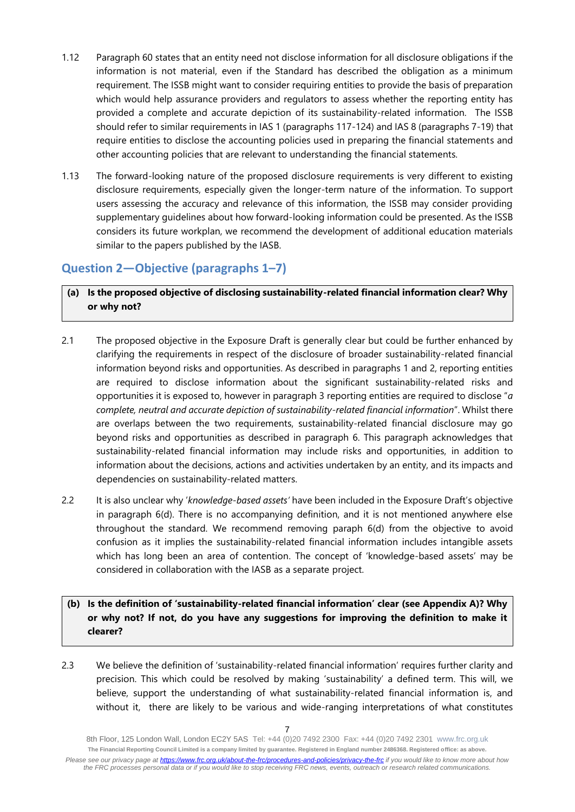- 1.12 Paragraph 60 states that an entity need not disclose information for all disclosure obligations if the information is not material, even if the Standard has described the obligation as a minimum requirement. The ISSB might want to consider requiring entities to provide the basis of preparation which would help assurance providers and regulators to assess whether the reporting entity has provided a complete and accurate depiction of its sustainability-related information. The ISSB should refer to similar requirements in IAS 1 (paragraphs 117-124) and IAS 8 (paragraphs 7-19) that require entities to disclose the accounting policies used in preparing the financial statements and other accounting policies that are relevant to understanding the financial statements.
- 1.13 The forward-looking nature of the proposed disclosure requirements is very different to existing disclosure requirements, especially given the longer-term nature of the information. To support users assessing the accuracy and relevance of this information, the ISSB may consider providing supplementary guidelines about how forward-looking information could be presented. As the ISSB considers its future workplan, we recommend the development of additional education materials similar to the papers published by the IASB.

# **Question 2—Objective (paragraphs 1–7)**

## **(a) Is the proposed objective of disclosing sustainability-related financial information clear? Why or why not?**

- 2.1 The proposed objective in the Exposure Draft is generally clear but could be further enhanced by clarifying the requirements in respect of the disclosure of broader sustainability-related financial information beyond risks and opportunities. As described in paragraphs 1 and 2, reporting entities are required to disclose information about the significant sustainability-related risks and opportunities it is exposed to, however in paragraph 3 reporting entities are required to disclose "*a complete, neutral and accurate depiction of sustainability-related financial information*". Whilst there are overlaps between the two requirements, sustainability-related financial disclosure may go beyond risks and opportunities as described in paragraph 6. This paragraph acknowledges that sustainability-related financial information may include risks and opportunities, in addition to information about the decisions, actions and activities undertaken by an entity, and its impacts and dependencies on sustainability-related matters.
- 2.2 It is also unclear why '*knowledge-based assets'* have been included in the Exposure Draft's objective in paragraph 6(d). There is no accompanying definition, and it is not mentioned anywhere else throughout the standard. We recommend removing paraph 6(d) from the objective to avoid confusion as it implies the sustainability-related financial information includes intangible assets which has long been an area of contention. The concept of 'knowledge-based assets' may be considered in collaboration with the IASB as a separate project.
- **(b) Is the definition of 'sustainability-related financial information' clear (see Appendix A)? Why or why not? If not, do you have any suggestions for improving the definition to make it clearer?**
- 2.3 We believe the definition of 'sustainability-related financial information' requires further clarity and precision. This which could be resolved by making 'sustainability' a defined term. This will, we believe, support the understanding of what sustainability-related financial information is, and without it, there are likely to be various and wide-ranging interpretations of what constitutes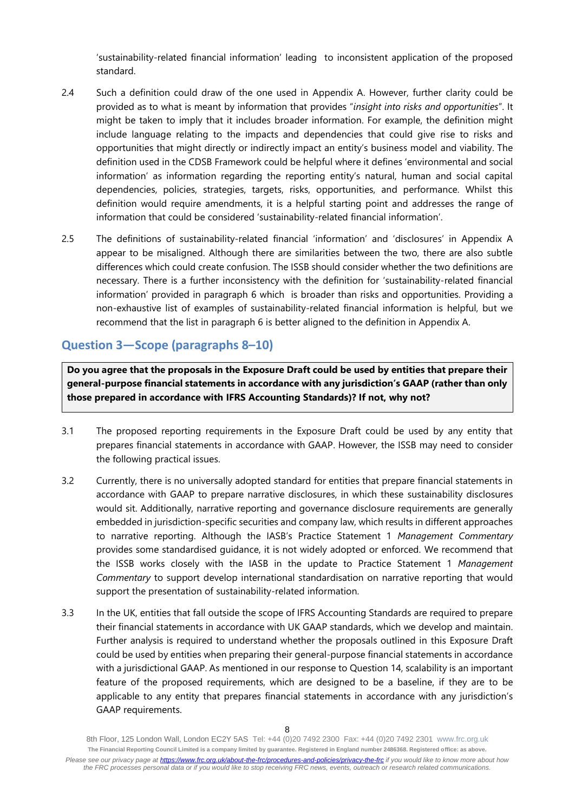'sustainability-related financial information' leading to inconsistent application of the proposed standard.

- 2.4 Such a definition could draw of the one used in Appendix A. However, further clarity could be provided as to what is meant by information that provides "*insight into risks and opportunities*". It might be taken to imply that it includes broader information. For example, the definition might include language relating to the impacts and dependencies that could give rise to risks and opportunities that might directly or indirectly impact an entity's business model and viability. The definition used in the CDSB Framework could be helpful where it defines 'environmental and social information' as information regarding the reporting entity's natural, human and social capital dependencies, policies, strategies, targets, risks, opportunities, and performance. Whilst this definition would require amendments, it is a helpful starting point and addresses the range of information that could be considered 'sustainability-related financial information'.
- 2.5 The definitions of sustainability-related financial 'information' and 'disclosures' in Appendix A appear to be misaligned. Although there are similarities between the two, there are also subtle differences which could create confusion. The ISSB should consider whether the two definitions are necessary. There is a further inconsistency with the definition for 'sustainability-related financial information' provided in paragraph 6 which is broader than risks and opportunities. Providing a non-exhaustive list of examples of sustainability-related financial information is helpful, but we recommend that the list in paragraph 6 is better aligned to the definition in Appendix A.

# **Question 3—Scope (paragraphs 8–10)**

**Do you agree that the proposals in the Exposure Draft could be used by entities that prepare their general-purpose financial statements in accordance with any jurisdiction's GAAP (rather than only those prepared in accordance with IFRS Accounting Standards)? If not, why not?**

- 3.1 The proposed reporting requirements in the Exposure Draft could be used by any entity that prepares financial statements in accordance with GAAP. However, the ISSB may need to consider the following practical issues.
- 3.2 Currently, there is no universally adopted standard for entities that prepare financial statements in accordance with GAAP to prepare narrative disclosures, in which these sustainability disclosures would sit. Additionally, narrative reporting and governance disclosure requirements are generally embedded in jurisdiction-specific securities and company law, which results in different approaches to narrative reporting. Although the IASB's Practice Statement 1 *Management Commentary* provides some standardised guidance, it is not widely adopted or enforced. We recommend that the ISSB works closely with the IASB in the update to Practice Statement 1 *Management Commentary* to support develop international standardisation on narrative reporting that would support the presentation of sustainability-related information.
- 3.3 In the UK, entities that fall outside the scope of IFRS Accounting Standards are required to prepare their financial statements in accordance with UK GAAP standards, which we develop and maintain. Further analysis is required to understand whether the proposals outlined in this Exposure Draft could be used by entities when preparing their general-purpose financial statements in accordance with a jurisdictional GAAP. As mentioned in our response to Question 14, scalability is an important feature of the proposed requirements, which are designed to be a baseline, if they are to be applicable to any entity that prepares financial statements in accordance with any jurisdiction's GAAP requirements.

<sup>8</sup>th Floor, 125 London Wall, London EC2Y 5AS Tel: +44 (0)20 7492 2300 Fax: +44 (0)20 7492 2301 [www.frc.org.uk](http://www.frc.org.uk/) **The Financial Reporting Council Limited is a company limited by guarantee. Registered in England number 2486368. Registered office: as above.** *Please see our privacy page at [https://www.frc.org.uk/about-the-frc/procedures-and-policies/privacy-the-frc](https://protect-eu.mimecast.com/s/meSwCVPQETYrOJIgd9IO) if you would like to know more about how the FRC processes personal data or if you would like to stop receiving FRC news, events, outreach or research related communications.*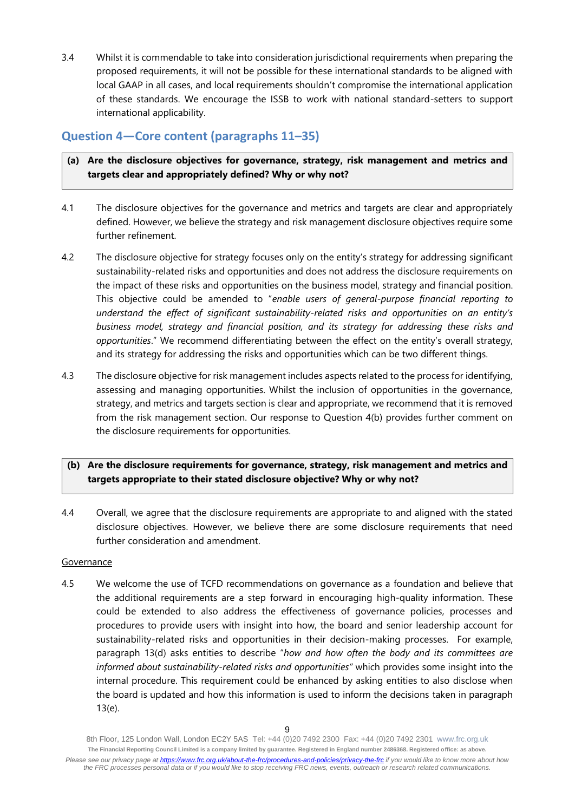3.4 Whilst it is commendable to take into consideration jurisdictional requirements when preparing the proposed requirements, it will not be possible for these international standards to be aligned with local GAAP in all cases, and local requirements shouldn't compromise the international application of these standards. We encourage the ISSB to work with national standard-setters to support international applicability.

# **Question 4—Core content (paragraphs 11–35)**

## **(a) Are the disclosure objectives for governance, strategy, risk management and metrics and targets clear and appropriately defined? Why or why not?**

- 4.1 The disclosure objectives for the governance and metrics and targets are clear and appropriately defined. However, we believe the strategy and risk management disclosure objectives require some further refinement.
- 4.2 The disclosure objective for strategy focuses only on the entity's strategy for addressing significant sustainability-related risks and opportunities and does not address the disclosure requirements on the impact of these risks and opportunities on the business model, strategy and financial position. This objective could be amended to "*enable users of general-purpose financial reporting to understand the effect of significant sustainability-related risks and opportunities on an entity's business model, strategy and financial position, and its strategy for addressing these risks and opportunities*." We recommend differentiating between the effect on the entity's overall strategy, and its strategy for addressing the risks and opportunities which can be two different things.
- 4.3 The disclosure objective for risk management includes aspects related to the process for identifying, assessing and managing opportunities. Whilst the inclusion of opportunities in the governance, strategy, and metrics and targets section is clear and appropriate, we recommend that it is removed from the risk management section. Our response to Question 4(b) provides further comment on the disclosure requirements for opportunities.

## **(b) Are the disclosure requirements for governance, strategy, risk management and metrics and targets appropriate to their stated disclosure objective? Why or why not?**

4.4 Overall, we agree that the disclosure requirements are appropriate to and aligned with the stated disclosure objectives. However, we believe there are some disclosure requirements that need further consideration and amendment.

#### Governance

4.5 We welcome the use of TCFD recommendations on governance as a foundation and believe that the additional requirements are a step forward in encouraging high-quality information. These could be extended to also address the effectiveness of governance policies, processes and procedures to provide users with insight into how, the board and senior leadership account for sustainability-related risks and opportunities in their decision-making processes. For example, paragraph 13(d) asks entities to describe "*how and how often the body and its committees are informed about sustainability-related risks and opportunities"* which provides some insight into the internal procedure. This requirement could be enhanced by asking entities to also disclose when the board is updated and how this information is used to inform the decisions taken in paragraph 13(e).

<sup>8</sup>th Floor, 125 London Wall, London EC2Y 5AS Tel: +44 (0)20 7492 2300 Fax: +44 (0)20 7492 2301 [www.frc.org.uk](http://www.frc.org.uk/) **The Financial Reporting Council Limited is a company limited by guarantee. Registered in England number 2486368. Registered office: as above.** *Please see our privacy page at [https://www.frc.org.uk/about-the-frc/procedures-and-policies/privacy-the-frc](https://protect-eu.mimecast.com/s/meSwCVPQETYrOJIgd9IO) if you would like to know more about how the FRC processes personal data or if you would like to stop receiving FRC news, events, outreach or research related communications.*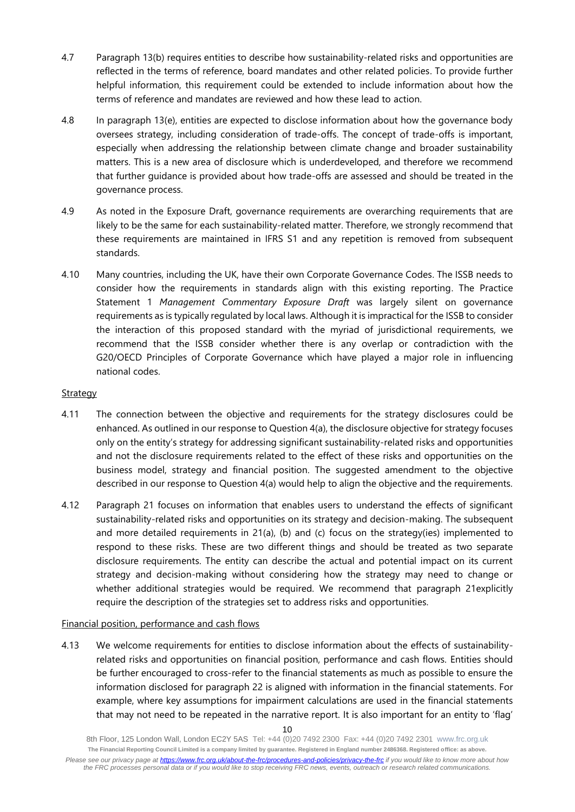- 4.7 Paragraph 13(b) requires entities to describe how sustainability-related risks and opportunities are reflected in the terms of reference, board mandates and other related policies. To provide further helpful information, this requirement could be extended to include information about how the terms of reference and mandates are reviewed and how these lead to action.
- 4.8 In paragraph 13(e), entities are expected to disclose information about how the governance body oversees strategy, including consideration of trade-offs. The concept of trade-offs is important, especially when addressing the relationship between climate change and broader sustainability matters. This is a new area of disclosure which is underdeveloped, and therefore we recommend that further guidance is provided about how trade-offs are assessed and should be treated in the governance process.
- 4.9 As noted in the Exposure Draft, governance requirements are overarching requirements that are likely to be the same for each sustainability-related matter. Therefore, we strongly recommend that these requirements are maintained in IFRS S1 and any repetition is removed from subsequent standards.
- 4.10 Many countries, including the UK, have their own Corporate Governance Codes. The ISSB needs to consider how the requirements in standards align with this existing reporting. The Practice Statement 1 *Management Commentary Exposure Draft* was largely silent on governance requirements as is typically regulated by local laws. Although it is impractical for the ISSB to consider the interaction of this proposed standard with the myriad of jurisdictional requirements, we recommend that the ISSB consider whether there is any overlap or contradiction with the G20/OECD Principles of Corporate Governance which have played a major role in influencing national codes.

## **Strategy**

- 4.11 The connection between the objective and requirements for the strategy disclosures could be enhanced. As outlined in our response to Question 4(a), the disclosure objective for strategy focuses only on the entity's strategy for addressing significant sustainability-related risks and opportunities and not the disclosure requirements related to the effect of these risks and opportunities on the business model, strategy and financial position. The suggested amendment to the objective described in our response to Question 4(a) would help to align the objective and the requirements.
- 4.12 Paragraph 21 focuses on information that enables users to understand the effects of significant sustainability-related risks and opportunities on its strategy and decision-making. The subsequent and more detailed requirements in  $21(a)$ , (b) and (c) focus on the strategy(ies) implemented to respond to these risks. These are two different things and should be treated as two separate disclosure requirements. The entity can describe the actual and potential impact on its current strategy and decision-making without considering how the strategy may need to change or whether additional strategies would be required. We recommend that paragraph 21explicitly require the description of the strategies set to address risks and opportunities.

#### Financial position, performance and cash flows

4.13 We welcome requirements for entities to disclose information about the effects of sustainabilityrelated risks and opportunities on financial position, performance and cash flows. Entities should be further encouraged to cross-refer to the financial statements as much as possible to ensure the information disclosed for paragraph 22 is aligned with information in the financial statements. For example, where key assumptions for impairment calculations are used in the financial statements that may not need to be repeated in the narrative report. It is also important for an entity to 'flag'

<sup>10</sup>

<sup>8</sup>th Floor, 125 London Wall, London EC2Y 5AS Tel: +44 (0)20 7492 2300 Fax: +44 (0)20 7492 2301 [www.frc.org.uk](http://www.frc.org.uk/) **The Financial Reporting Council Limited is a company limited by guarantee. Registered in England number 2486368. Registered office: as above.** *Please see our privacy page at [https://www.frc.org.uk/about-the-frc/procedures-and-policies/privacy-the-frc](https://protect-eu.mimecast.com/s/meSwCVPQETYrOJIgd9IO) if you would like to know more about how the FRC processes personal data or if you would like to stop receiving FRC news, events, outreach or research related communications.*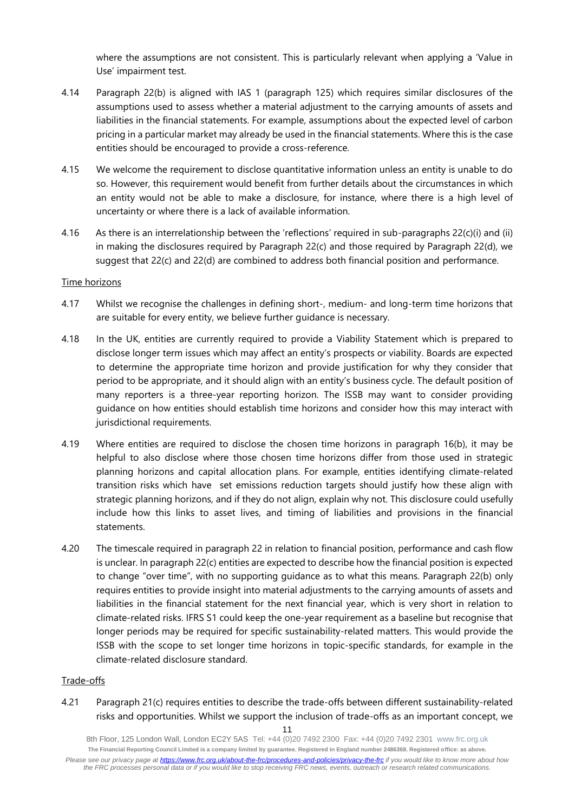where the assumptions are not consistent. This is particularly relevant when applying a 'Value in Use' impairment test.

- 4.14 Paragraph 22(b) is aligned with IAS 1 (paragraph 125) which requires similar disclosures of the assumptions used to assess whether a material adjustment to the carrying amounts of assets and liabilities in the financial statements. For example, assumptions about the expected level of carbon pricing in a particular market may already be used in the financial statements. Where this is the case entities should be encouraged to provide a cross-reference.
- 4.15 We welcome the requirement to disclose quantitative information unless an entity is unable to do so. However, this requirement would benefit from further details about the circumstances in which an entity would not be able to make a disclosure, for instance, where there is a high level of uncertainty or where there is a lack of available information.
- 4.16 As there is an interrelationship between the 'reflections' required in sub-paragraphs 22(c)(i) and (ii) in making the disclosures required by Paragraph 22(c) and those required by Paragraph 22(d), we suggest that 22(c) and 22(d) are combined to address both financial position and performance.

#### Time horizons

- 4.17 Whilst we recognise the challenges in defining short-, medium- and long-term time horizons that are suitable for every entity, we believe further guidance is necessary.
- 4.18 In the UK, entities are currently required to provide a Viability Statement which is prepared to disclose longer term issues which may affect an entity's prospects or viability. Boards are expected to determine the appropriate time horizon and provide justification for why they consider that period to be appropriate, and it should align with an entity's business cycle. The default position of many reporters is a three-year reporting horizon. The ISSB may want to consider providing guidance on how entities should establish time horizons and consider how this may interact with jurisdictional requirements.
- 4.19 Where entities are required to disclose the chosen time horizons in paragraph 16(b), it may be helpful to also disclose where those chosen time horizons differ from those used in strategic planning horizons and capital allocation plans. For example, entities identifying climate-related transition risks which have set emissions reduction targets should justify how these align with strategic planning horizons, and if they do not align, explain why not. This disclosure could usefully include how this links to asset lives, and timing of liabilities and provisions in the financial statements.
- 4.20 The timescale required in paragraph 22 in relation to financial position, performance and cash flow is unclear. In paragraph 22(c) entities are expected to describe how the financial position is expected to change "over time", with no supporting guidance as to what this means. Paragraph 22(b) only requires entities to provide insight into material adjustments to the carrying amounts of assets and liabilities in the financial statement for the next financial year, which is very short in relation to climate-related risks. IFRS S1 could keep the one-year requirement as a baseline but recognise that longer periods may be required for specific sustainability-related matters. This would provide the ISSB with the scope to set longer time horizons in topic-specific standards, for example in the climate-related disclosure standard.

#### Trade-offs

4.21 Paragraph 21(c) requires entities to describe the trade-offs between different sustainability-related risks and opportunities. Whilst we support the inclusion of trade-offs as an important concept, we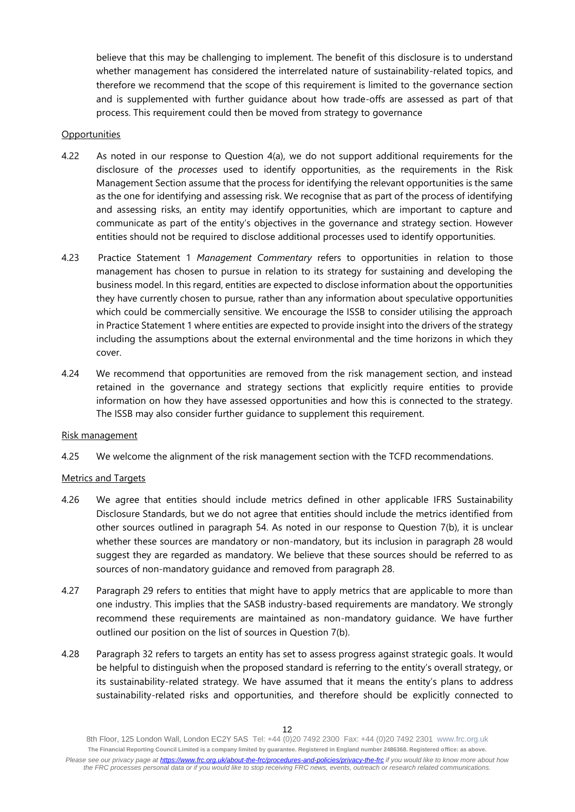believe that this may be challenging to implement. The benefit of this disclosure is to understand whether management has considered the interrelated nature of sustainability-related topics, and therefore we recommend that the scope of this requirement is limited to the governance section and is supplemented with further guidance about how trade-offs are assessed as part of that process. This requirement could then be moved from strategy to governance

#### **Opportunities**

- 4.22 As noted in our response to Question 4(a), we do not support additional requirements for the disclosure of the *processes* used to identify opportunities, as the requirements in the Risk Management Section assume that the process for identifying the relevant opportunities is the same as the one for identifying and assessing risk. We recognise that as part of the process of identifying and assessing risks, an entity may identify opportunities, which are important to capture and communicate as part of the entity's objectives in the governance and strategy section. However entities should not be required to disclose additional processes used to identify opportunities.
- 4.23 Practice Statement 1 *Management Commentary* refers to opportunities in relation to those management has chosen to pursue in relation to its strategy for sustaining and developing the business model. In this regard, entities are expected to disclose information about the opportunities they have currently chosen to pursue, rather than any information about speculative opportunities which could be commercially sensitive. We encourage the ISSB to consider utilising the approach in Practice Statement 1 where entities are expected to provide insight into the drivers of the strategy including the assumptions about the external environmental and the time horizons in which they cover.
- 4.24 We recommend that opportunities are removed from the risk management section, and instead retained in the governance and strategy sections that explicitly require entities to provide information on how they have assessed opportunities and how this is connected to the strategy. The ISSB may also consider further guidance to supplement this requirement.

#### Risk management

4.25 We welcome the alignment of the risk management section with the TCFD recommendations.

#### Metrics and Targets

- 4.26 We agree that entities should include metrics defined in other applicable IFRS Sustainability Disclosure Standards, but we do not agree that entities should include the metrics identified from other sources outlined in paragraph 54. As noted in our response to Question 7(b), it is unclear whether these sources are mandatory or non-mandatory, but its inclusion in paragraph 28 would suggest they are regarded as mandatory. We believe that these sources should be referred to as sources of non-mandatory guidance and removed from paragraph 28.
- 4.27 Paragraph 29 refers to entities that might have to apply metrics that are applicable to more than one industry. This implies that the SASB industry-based requirements are mandatory. We strongly recommend these requirements are maintained as non-mandatory guidance. We have further outlined our position on the list of sources in Question 7(b).
- 4.28 Paragraph 32 refers to targets an entity has set to assess progress against strategic goals. It would be helpful to distinguish when the proposed standard is referring to the entity's overall strategy, or its sustainability-related strategy. We have assumed that it means the entity's plans to address sustainability-related risks and opportunities, and therefore should be explicitly connected to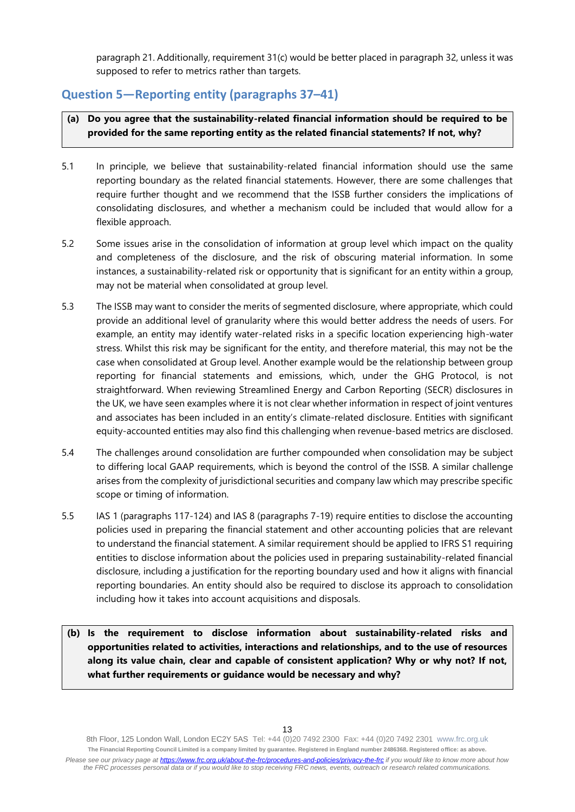paragraph 21. Additionally, requirement 31(c) would be better placed in paragraph 32, unless it was supposed to refer to metrics rather than targets.

## **Question 5—Reporting entity (paragraphs 37–41)**

- **(a) Do you agree that the sustainability-related financial information should be required to be provided for the same reporting entity as the related financial statements? If not, why?**
- 5.1 In principle, we believe that sustainability-related financial information should use the same reporting boundary as the related financial statements. However, there are some challenges that require further thought and we recommend that the ISSB further considers the implications of consolidating disclosures, and whether a mechanism could be included that would allow for a flexible approach.
- 5.2 Some issues arise in the consolidation of information at group level which impact on the quality and completeness of the disclosure, and the risk of obscuring material information. In some instances, a sustainability-related risk or opportunity that is significant for an entity within a group, may not be material when consolidated at group level.
- 5.3 The ISSB may want to consider the merits of segmented disclosure, where appropriate, which could provide an additional level of granularity where this would better address the needs of users. For example, an entity may identify water-related risks in a specific location experiencing high-water stress. Whilst this risk may be significant for the entity, and therefore material, this may not be the case when consolidated at Group level. Another example would be the relationship between group reporting for financial statements and emissions, which, under the GHG Protocol, is not straightforward. When reviewing Streamlined Energy and Carbon Reporting (SECR) disclosures in the UK, we have seen examples where it is not clear whether information in respect of joint ventures and associates has been included in an entity's climate-related disclosure. Entities with significant equity-accounted entities may also find this challenging when revenue-based metrics are disclosed.
- 5.4 The challenges around consolidation are further compounded when consolidation may be subject to differing local GAAP requirements, which is beyond the control of the ISSB. A similar challenge arises from the complexity of jurisdictional securities and company law which may prescribe specific scope or timing of information.
- 5.5 IAS 1 (paragraphs 117-124) and IAS 8 (paragraphs 7-19) require entities to disclose the accounting policies used in preparing the financial statement and other accounting policies that are relevant to understand the financial statement. A similar requirement should be applied to IFRS S1 requiring entities to disclose information about the policies used in preparing sustainability-related financial disclosure, including a justification for the reporting boundary used and how it aligns with financial reporting boundaries. An entity should also be required to disclose its approach to consolidation including how it takes into account acquisitions and disposals.
- **(b) Is the requirement to disclose information about sustainability-related risks and opportunities related to activities, interactions and relationships, and to the use of resources along its value chain, clear and capable of consistent application? Why or why not? If not, what further requirements or guidance would be necessary and why?**

<sup>8</sup>th Floor, 125 London Wall, London EC2Y 5AS Tel: +44 (0)20 7492 2300 Fax: +44 (0)20 7492 2301 [www.frc.org.uk](http://www.frc.org.uk/) **The Financial Reporting Council Limited is a company limited by guarantee. Registered in England number 2486368. Registered office: as above.** *Please see our privacy page at [https://www.frc.org.uk/about-the-frc/procedures-and-policies/privacy-the-frc](https://protect-eu.mimecast.com/s/meSwCVPQETYrOJIgd9IO) if you would like to know more about how the FRC processes personal data or if you would like to stop receiving FRC news, events, outreach or research related communications.*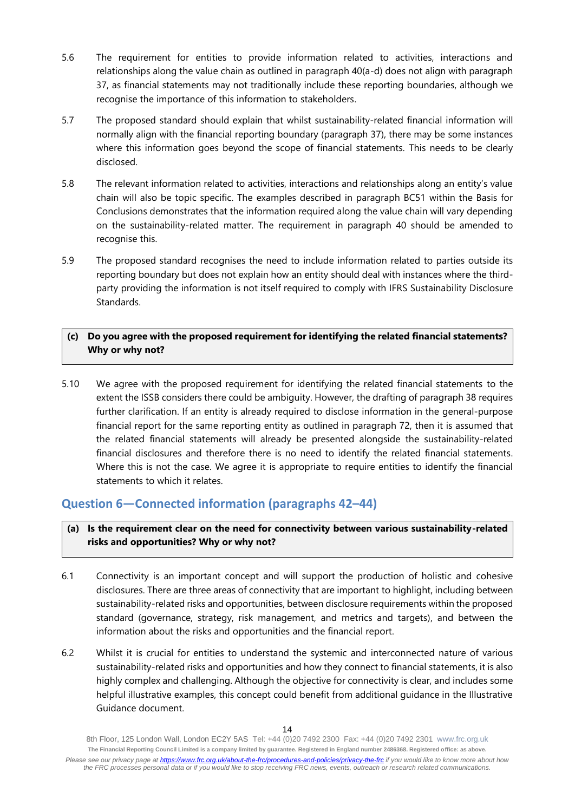- 5.6 The requirement for entities to provide information related to activities, interactions and relationships along the value chain as outlined in paragraph 40(a-d) does not align with paragraph 37, as financial statements may not traditionally include these reporting boundaries, although we recognise the importance of this information to stakeholders.
- 5.7 The proposed standard should explain that whilst sustainability-related financial information will normally align with the financial reporting boundary (paragraph 37), there may be some instances where this information goes beyond the scope of financial statements. This needs to be clearly disclosed.
- 5.8 The relevant information related to activities, interactions and relationships along an entity's value chain will also be topic specific. The examples described in paragraph BC51 within the Basis for Conclusions demonstrates that the information required along the value chain will vary depending on the sustainability-related matter. The requirement in paragraph 40 should be amended to recognise this.
- 5.9 The proposed standard recognises the need to include information related to parties outside its reporting boundary but does not explain how an entity should deal with instances where the thirdparty providing the information is not itself required to comply with IFRS Sustainability Disclosure Standards.

## **(c) Do you agree with the proposed requirement for identifying the related financial statements? Why or why not?**

5.10 We agree with the proposed requirement for identifying the related financial statements to the extent the ISSB considers there could be ambiguity. However, the drafting of paragraph 38 requires further clarification. If an entity is already required to disclose information in the general-purpose financial report for the same reporting entity as outlined in paragraph 72, then it is assumed that the related financial statements will already be presented alongside the sustainability-related financial disclosures and therefore there is no need to identify the related financial statements. Where this is not the case. We agree it is appropriate to require entities to identify the financial statements to which it relates.

# **Question 6—Connected information (paragraphs 42–44)**

**(a) Is the requirement clear on the need for connectivity between various sustainability-related risks and opportunities? Why or why not?**

- 6.1 Connectivity is an important concept and will support the production of holistic and cohesive disclosures. There are three areas of connectivity that are important to highlight, including between sustainability-related risks and opportunities, between disclosure requirements within the proposed standard (governance, strategy, risk management, and metrics and targets), and between the information about the risks and opportunities and the financial report.
- 6.2 Whilst it is crucial for entities to understand the systemic and interconnected nature of various sustainability-related risks and opportunities and how they connect to financial statements, it is also highly complex and challenging. Although the objective for connectivity is clear, and includes some helpful illustrative examples, this concept could benefit from additional guidance in the Illustrative Guidance document.

<sup>8</sup>th Floor, 125 London Wall, London EC2Y 5AS Tel: +44 (0)20 7492 2300 Fax: +44 (0)20 7492 2301 [www.frc.org.uk](http://www.frc.org.uk/) **The Financial Reporting Council Limited is a company limited by guarantee. Registered in England number 2486368. Registered office: as above.** *Please see our privacy page at [https://www.frc.org.uk/about-the-frc/procedures-and-policies/privacy-the-frc](https://protect-eu.mimecast.com/s/meSwCVPQETYrOJIgd9IO) if you would like to know more about how the FRC processes personal data or if you would like to stop receiving FRC news, events, outreach or research related communications.*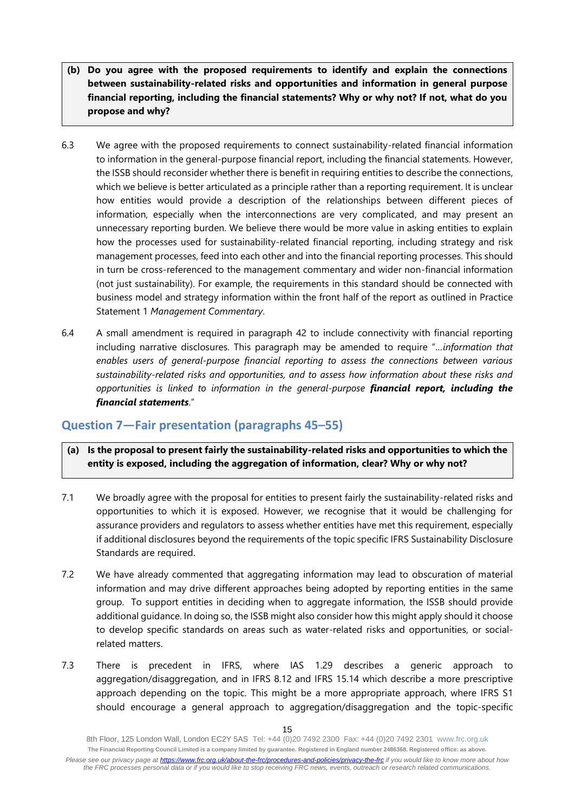- **(b) Do you agree with the proposed requirements to identify and explain the connections between sustainability-related risks and opportunities and information in general purpose financial reporting, including the financial statements? Why or why not? If not, what do you propose and why?**
- 6.3 We agree with the proposed requirements to connect sustainability-related financial information to information in the general-purpose financial report, including the financial statements. However, the ISSB should reconsider whether there is benefit in requiring entities to describe the connections, which we believe is better articulated as a principle rather than a reporting requirement. It is unclear how entities would provide a description of the relationships between different pieces of information, especially when the interconnections are very complicated, and may present an unnecessary reporting burden. We believe there would be more value in asking entities to explain how the processes used for sustainability-related financial reporting, including strategy and risk management processes, feed into each other and into the financial reporting processes. This should in turn be cross-referenced to the management commentary and wider non-financial information (not just sustainability). For example, the requirements in this standard should be connected with business model and strategy information within the front half of the report as outlined in Practice Statement 1 *Management Commentary*.
- 6.4 A small amendment is required in paragraph 42 to include connectivity with financial reporting including narrative disclosures. This paragraph may be amended to require "*…information that enables users of general-purpose financial reporting to assess the connections between various sustainability-related risks and opportunities, and to assess how information about these risks and opportunities is linked to information in the general-purpose financial report, including the financial statements*."

## **Question 7—Fair presentation (paragraphs 45–55)**

- **(a) Is the proposal to present fairly the sustainability-related risks and opportunities to which the entity is exposed, including the aggregation of information, clear? Why or why not?**
- 7.1 We broadly agree with the proposal for entities to present fairly the sustainability-related risks and opportunities to which it is exposed. However, we recognise that it would be challenging for assurance providers and regulators to assess whether entities have met this requirement, especially if additional disclosures beyond the requirements of the topic specific IFRS Sustainability Disclosure Standards are required.
- 7.2 We have already commented that aggregating information may lead to obscuration of material information and may drive different approaches being adopted by reporting entities in the same group. To support entities in deciding when to aggregate information, the ISSB should provide additional guidance. In doing so, the ISSB might also consider how this might apply should it choose to develop specific standards on areas such as water-related risks and opportunities, or socialrelated matters.
- 7.3 There is precedent in IFRS, where IAS 1.29 describes a generic approach to aggregation/disaggregation, and in IFRS 8.12 and IFRS 15.14 which describe a more prescriptive approach depending on the topic. This might be a more appropriate approach, where IFRS S1 should encourage a general approach to aggregation/disaggregation and the topic-specific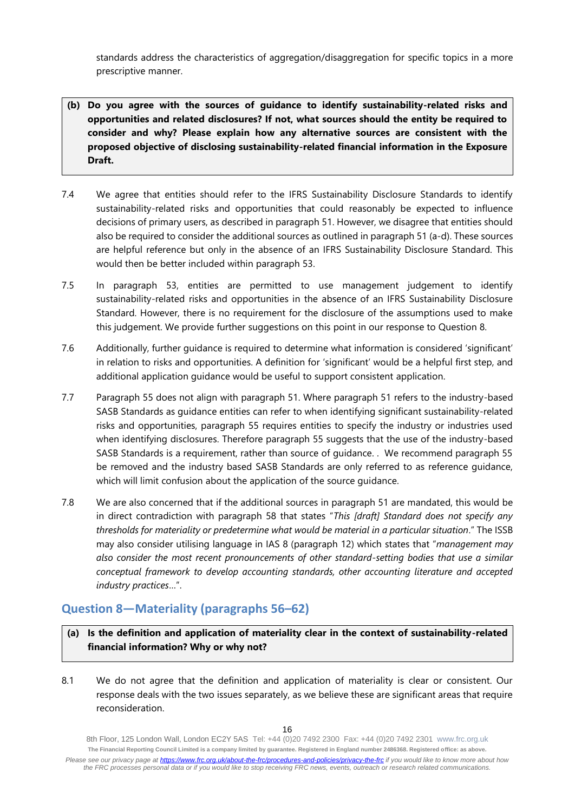standards address the characteristics of aggregation/disaggregation for specific topics in a more prescriptive manner.

- **(b) Do you agree with the sources of guidance to identify sustainability-related risks and opportunities and related disclosures? If not, what sources should the entity be required to consider and why? Please explain how any alternative sources are consistent with the proposed objective of disclosing sustainability-related financial information in the Exposure Draft.**
- 7.4 We agree that entities should refer to the IFRS Sustainability Disclosure Standards to identify sustainability-related risks and opportunities that could reasonably be expected to influence decisions of primary users, as described in paragraph 51. However, we disagree that entities should also be required to consider the additional sources as outlined in paragraph 51 (a-d). These sources are helpful reference but only in the absence of an IFRS Sustainability Disclosure Standard. This would then be better included within paragraph 53.
- 7.5 In paragraph 53, entities are permitted to use management judgement to identify sustainability-related risks and opportunities in the absence of an IFRS Sustainability Disclosure Standard. However, there is no requirement for the disclosure of the assumptions used to make this judgement. We provide further suggestions on this point in our response to Question 8.
- 7.6 Additionally, further guidance is required to determine what information is considered 'significant' in relation to risks and opportunities. A definition for 'significant' would be a helpful first step, and additional application guidance would be useful to support consistent application.
- 7.7 Paragraph 55 does not align with paragraph 51. Where paragraph 51 refers to the industry-based SASB Standards as guidance entities can refer to when identifying significant sustainability-related risks and opportunities, paragraph 55 requires entities to specify the industry or industries used when identifying disclosures. Therefore paragraph 55 suggests that the use of the industry-based SASB Standards is a requirement, rather than source of guidance. . We recommend paragraph 55 be removed and the industry based SASB Standards are only referred to as reference guidance, which will limit confusion about the application of the source guidance.
- 7.8 We are also concerned that if the additional sources in paragraph 51 are mandated, this would be in direct contradiction with paragraph 58 that states "*This [draft] Standard does not specify any thresholds for materiality or predetermine what would be material in a particular situation*." The ISSB may also consider utilising language in IAS 8 (paragraph 12) which states that "*management may also consider the most recent pronouncements of other standard-setting bodies that use a similar conceptual framework to develop accounting standards, other accounting literature and accepted industry practices*…".

# **Question 8—Materiality (paragraphs 56–62)**

**(a) Is the definition and application of materiality clear in the context of sustainability-related financial information? Why or why not?**

8.1 We do not agree that the definition and application of materiality is clear or consistent. Our response deals with the two issues separately, as we believe these are significant areas that require reconsideration.

<sup>8</sup>th Floor, 125 London Wall, London EC2Y 5AS Tel: +44 (0)20 7492 2300 Fax: +44 (0)20 7492 2301 [www.frc.org.uk](http://www.frc.org.uk/) **The Financial Reporting Council Limited is a company limited by guarantee. Registered in England number 2486368. Registered office: as above.** *Please see our privacy page at [https://www.frc.org.uk/about-the-frc/procedures-and-policies/privacy-the-frc](https://protect-eu.mimecast.com/s/meSwCVPQETYrOJIgd9IO) if you would like to know more about how the FRC processes personal data or if you would like to stop receiving FRC news, events, outreach or research related communications.*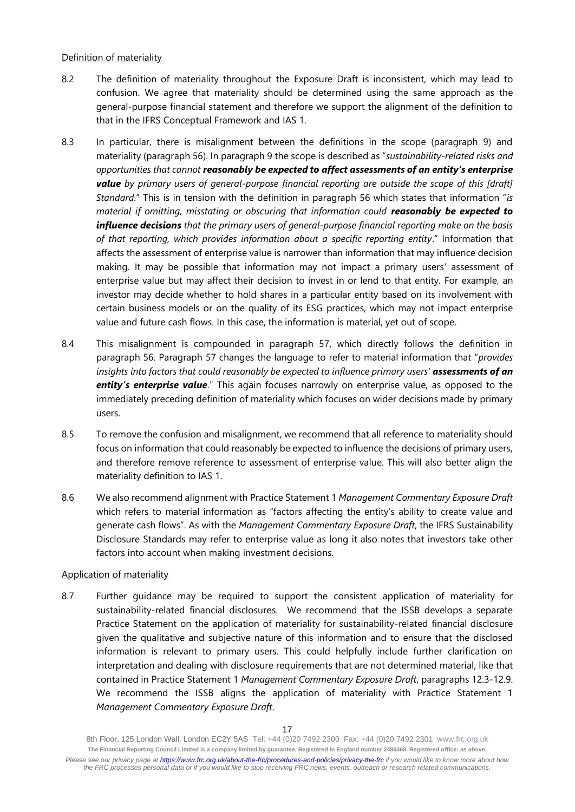## Definition of materiality

- 8.2 The definition of materiality throughout the Exposure Draft is inconsistent, which may lead to confusion. We agree that materiality should be determined using the same approach as the general-purpose financial statement and therefore we support the alignment of the definition to that in the IFRS Conceptual Framework and IAS 1.
- 8.3 In particular, there is misalignment between the definitions in the scope (paragraph 9) and materiality (paragraph 56). In paragraph 9 the scope is described as "*sustainability-related risks and opportunities that cannot reasonably be expected to affect assessments of an entity's enterprise value by primary users of general-purpose financial reporting are outside the scope of this [draft] Standard*." This is in tension with the definition in paragraph 56 which states that information "*is material if omitting, misstating or obscuring that information could reasonably be expected to influence decisions that the primary users of general-purpose financial reporting make on the basis of that reporting, which provides information about a specific reporting entity*." Information that affects the assessment of enterprise value is narrower than information that may influence decision making. It may be possible that information may not impact a primary users' assessment of enterprise value but may affect their decision to invest in or lend to that entity. For example, an investor may decide whether to hold shares in a particular entity based on its involvement with certain business models or on the quality of its ESG practices, which may not impact enterprise value and future cash flows. In this case, the information is material, yet out of scope.
- 8.4 This misalignment is compounded in paragraph 57, which directly follows the definition in paragraph 56. Paragraph 57 changes the language to refer to material information that "*provides insights into factors that could reasonably be expected to influence primary users' assessments of an*  **entity's enterprise value**." This again focuses narrowly on enterprise value, as opposed to the immediately preceding definition of materiality which focuses on wider decisions made by primary users.
- 8.5 To remove the confusion and misalignment, we recommend that all reference to materiality should focus on information that could reasonably be expected to influence the decisions of primary users, and therefore remove reference to assessment of enterprise value. This will also better align the materiality definition to IAS 1.
- 8.6 We also recommend alignment with Practice Statement 1 *Management Commentary Exposure Draft*  which refers to material information as "factors affecting the entity's ability to create value and generate cash flows". As with the *Management Commentary Exposure Draft*, the IFRS Sustainability Disclosure Standards may refer to enterprise value as long it also notes that investors take other factors into account when making investment decisions.

#### Application of materiality

8.7 Further quidance may be required to support the consistent application of materiality for sustainability-related financial disclosures. We recommend that the ISSB develops a separate Practice Statement on the application of materiality for sustainability-related financial disclosure given the qualitative and subjective nature of this information and to ensure that the disclosed information is relevant to primary users. This could helpfully include further clarification on interpretation and dealing with disclosure requirements that are not determined material, like that contained in Practice Statement 1 *Management Commentary Exposure Draft*, paragraphs 12.3-12.9. We recommend the ISSB aligns the application of materiality with Practice Statement 1 *Management Commentary Exposure Draft*.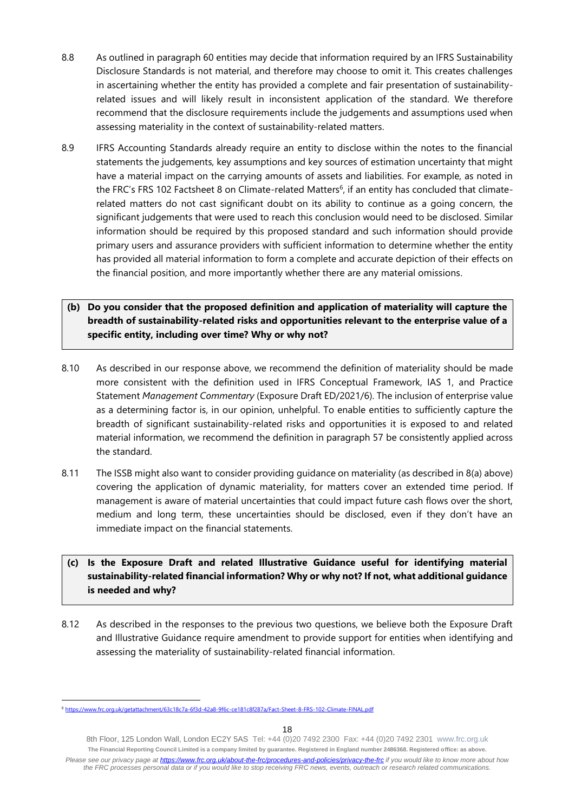- 8.8 As outlined in paragraph 60 entities may decide that information required by an IFRS Sustainability Disclosure Standards is not material, and therefore may choose to omit it. This creates challenges in ascertaining whether the entity has provided a complete and fair presentation of sustainabilityrelated issues and will likely result in inconsistent application of the standard. We therefore recommend that the disclosure requirements include the judgements and assumptions used when assessing materiality in the context of sustainability-related matters.
- 8.9 IFRS Accounting Standards already require an entity to disclose within the notes to the financial statements the judgements, key assumptions and key sources of estimation uncertainty that might have a material impact on the carrying amounts of assets and liabilities. For example, as noted in the FRC's FRS 102 Factsheet 8 on Climate-related Matters<sup>6</sup>, if an entity has concluded that climaterelated matters do not cast significant doubt on its ability to continue as a going concern, the significant judgements that were used to reach this conclusion would need to be disclosed. Similar information should be required by this proposed standard and such information should provide primary users and assurance providers with sufficient information to determine whether the entity has provided all material information to form a complete and accurate depiction of their effects on the financial position, and more importantly whether there are any material omissions.
- **(b) Do you consider that the proposed definition and application of materiality will capture the breadth of sustainability-related risks and opportunities relevant to the enterprise value of a specific entity, including over time? Why or why not?**
- 8.10 As described in our response above, we recommend the definition of materiality should be made more consistent with the definition used in IFRS Conceptual Framework, IAS 1, and Practice Statement *Management Commentary* (Exposure Draft ED/2021/6). The inclusion of enterprise value as a determining factor is, in our opinion, unhelpful. To enable entities to sufficiently capture the breadth of significant sustainability-related risks and opportunities it is exposed to and related material information, we recommend the definition in paragraph 57 be consistently applied across the standard.
- 8.11 The ISSB might also want to consider providing guidance on materiality (as described in 8(a) above) covering the application of dynamic materiality, for matters cover an extended time period. If management is aware of material uncertainties that could impact future cash flows over the short, medium and long term, these uncertainties should be disclosed, even if they don't have an immediate impact on the financial statements.

## **(c) Is the Exposure Draft and related Illustrative Guidance useful for identifying material sustainability-related financial information? Why or why not? If not, what additional guidance is needed and why?**

8.12 As described in the responses to the previous two questions, we believe both the Exposure Draft and Illustrative Guidance require amendment to provide support for entities when identifying and assessing the materiality of sustainability-related financial information.

<sup>6</sup> <https://www.frc.org.uk/getattachment/63c18c7a-6f3d-42a8-9f6c-ce181c8f287a/Fact-Sheet-8-FRS-102-Climate-FINAL.pdf>

<sup>8</sup>th Floor, 125 London Wall, London EC2Y 5AS Tel: +44 (0)20 7492 2300 Fax: +44 (0)20 7492 2301 [www.frc.org.uk](http://www.frc.org.uk/) **The Financial Reporting Council Limited is a company limited by guarantee. Registered in England number 2486368. Registered office: as above.** *Please see our privacy page at [https://www.frc.org.uk/about-the-frc/procedures-and-policies/privacy-the-frc](https://protect-eu.mimecast.com/s/meSwCVPQETYrOJIgd9IO) if you would like to know more about how the FRC processes personal data or if you would like to stop receiving FRC news, events, outreach or research related communications.*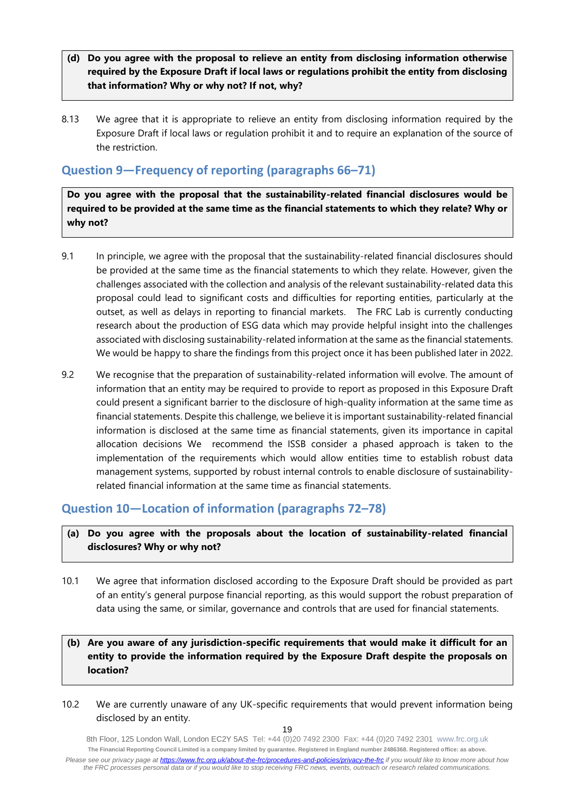- **(d) Do you agree with the proposal to relieve an entity from disclosing information otherwise required by the Exposure Draft if local laws or regulations prohibit the entity from disclosing that information? Why or why not? If not, why?**
- 8.13 We agree that it is appropriate to relieve an entity from disclosing information required by the Exposure Draft if local laws or regulation prohibit it and to require an explanation of the source of the restriction.

# **Question 9—Frequency of reporting (paragraphs 66–71)**

**Do you agree with the proposal that the sustainability-related financial disclosures would be required to be provided at the same time as the financial statements to which they relate? Why or why not?**

- 9.1 In principle, we agree with the proposal that the sustainability-related financial disclosures should be provided at the same time as the financial statements to which they relate. However, given the challenges associated with the collection and analysis of the relevant sustainability-related data this proposal could lead to significant costs and difficulties for reporting entities, particularly at the outset, as well as delays in reporting to financial markets. The FRC Lab is currently conducting research about the production of ESG data which may provide helpful insight into the challenges associated with disclosing sustainability-related information at the same as the financial statements. We would be happy to share the findings from this project once it has been published later in 2022.
- 9.2 We recognise that the preparation of sustainability-related information will evolve. The amount of information that an entity may be required to provide to report as proposed in this Exposure Draft could present a significant barrier to the disclosure of high-quality information at the same time as financial statements. Despite this challenge, we believe it is important sustainability-related financial information is disclosed at the same time as financial statements, given its importance in capital allocation decisions We recommend the ISSB consider a phased approach is taken to the implementation of the requirements which would allow entities time to establish robust data management systems, supported by robust internal controls to enable disclosure of sustainabilityrelated financial information at the same time as financial statements.

# **Question 10—Location of information (paragraphs 72–78)**

## **(a) Do you agree with the proposals about the location of sustainability-related financial disclosures? Why or why not?**

10.1 We agree that information disclosed according to the Exposure Draft should be provided as part of an entity's general purpose financial reporting, as this would support the robust preparation of data using the same, or similar, governance and controls that are used for financial statements.

## **(b) Are you aware of any jurisdiction-specific requirements that would make it difficult for an entity to provide the information required by the Exposure Draft despite the proposals on location?**

10.2 We are currently unaware of any UK-specific requirements that would prevent information being disclosed by an entity.

<sup>8</sup>th Floor, 125 London Wall, London EC2Y 5AS Tel: +44 (0)20 7492 2300 Fax: +44 (0)20 7492 2301 [www.frc.org.uk](http://www.frc.org.uk/) **The Financial Reporting Council Limited is a company limited by guarantee. Registered in England number 2486368. Registered office: as above.** *Please see our privacy page at [https://www.frc.org.uk/about-the-frc/procedures-and-policies/privacy-the-frc](https://protect-eu.mimecast.com/s/meSwCVPQETYrOJIgd9IO) if you would like to know more about how the FRC processes personal data or if you would like to stop receiving FRC news, events, outreach or research related communications.*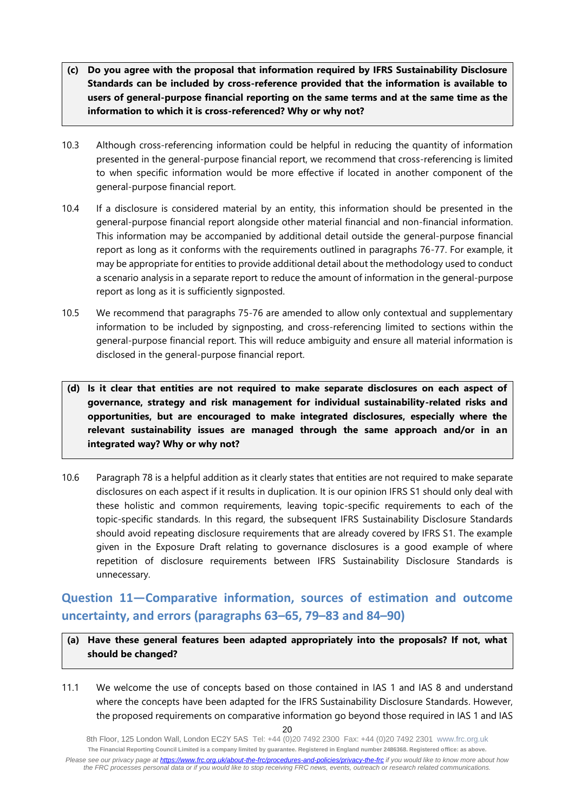- **(c) Do you agree with the proposal that information required by IFRS Sustainability Disclosure Standards can be included by cross-reference provided that the information is available to users of general-purpose financial reporting on the same terms and at the same time as the information to which it is cross-referenced? Why or why not?**
- 10.3 Although cross-referencing information could be helpful in reducing the quantity of information presented in the general-purpose financial report, we recommend that cross-referencing is limited to when specific information would be more effective if located in another component of the general-purpose financial report.
- 10.4 If a disclosure is considered material by an entity, this information should be presented in the general-purpose financial report alongside other material financial and non-financial information. This information may be accompanied by additional detail outside the general-purpose financial report as long as it conforms with the requirements outlined in paragraphs 76-77. For example, it may be appropriate for entities to provide additional detail about the methodology used to conduct a scenario analysis in a separate report to reduce the amount of information in the general-purpose report as long as it is sufficiently signposted.
- 10.5 We recommend that paragraphs 75-76 are amended to allow only contextual and supplementary information to be included by signposting, and cross-referencing limited to sections within the general-purpose financial report. This will reduce ambiguity and ensure all material information is disclosed in the general-purpose financial report.
- **(d) Is it clear that entities are not required to make separate disclosures on each aspect of governance, strategy and risk management for individual sustainability-related risks and opportunities, but are encouraged to make integrated disclosures, especially where the relevant sustainability issues are managed through the same approach and/or in an integrated way? Why or why not?**
- 10.6 Paragraph 78 is a helpful addition as it clearly states that entities are not required to make separate disclosures on each aspect if it results in duplication. It is our opinion IFRS S1 should only deal with these holistic and common requirements, leaving topic-specific requirements to each of the topic-specific standards. In this regard, the subsequent IFRS Sustainability Disclosure Standards should avoid repeating disclosure requirements that are already covered by IFRS S1. The example given in the Exposure Draft relating to governance disclosures is a good example of where repetition of disclosure requirements between IFRS Sustainability Disclosure Standards is unnecessary.

# **Question 11—Comparative information, sources of estimation and outcome uncertainty, and errors (paragraphs 63–65, 79–83 and 84–90)**

- **(a) Have these general features been adapted appropriately into the proposals? If not, what should be changed?**
- 11.1 We welcome the use of concepts based on those contained in IAS 1 and IAS 8 and understand where the concepts have been adapted for the IFRS Sustainability Disclosure Standards. However, the proposed requirements on comparative information go beyond those required in IAS 1 and IAS

<sup>20</sup>

<sup>8</sup>th Floor, 125 London Wall, London EC2Y 5AS Tel: +44 (0)20 7492 2300 Fax: +44 (0)20 7492 2301 [www.frc.org.uk](http://www.frc.org.uk/) **The Financial Reporting Council Limited is a company limited by guarantee. Registered in England number 2486368. Registered office: as above.** *Please see our privacy page at [https://www.frc.org.uk/about-the-frc/procedures-and-policies/privacy-the-frc](https://protect-eu.mimecast.com/s/meSwCVPQETYrOJIgd9IO) if you would like to know more about how the FRC processes personal data or if you would like to stop receiving FRC news, events, outreach or research related communications.*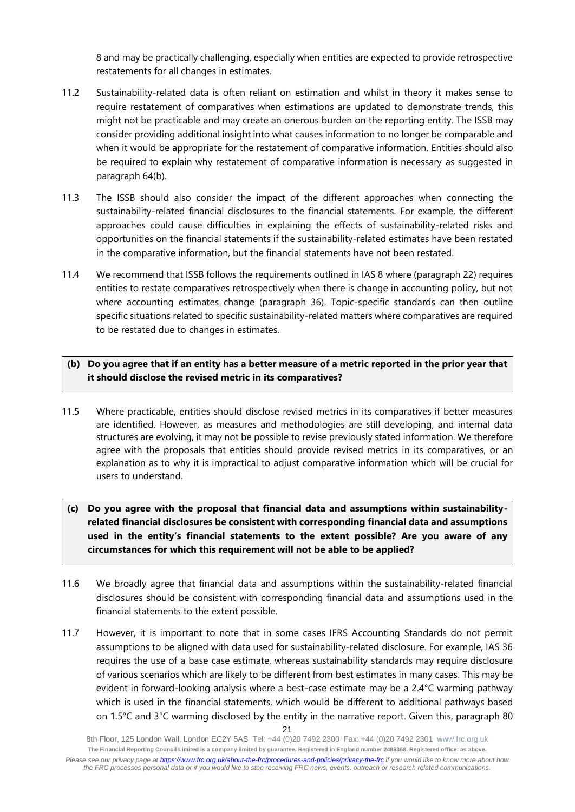8 and may be practically challenging, especially when entities are expected to provide retrospective restatements for all changes in estimates.

- 11.2 Sustainability-related data is often reliant on estimation and whilst in theory it makes sense to require restatement of comparatives when estimations are updated to demonstrate trends, this might not be practicable and may create an onerous burden on the reporting entity. The ISSB may consider providing additional insight into what causes information to no longer be comparable and when it would be appropriate for the restatement of comparative information. Entities should also be required to explain why restatement of comparative information is necessary as suggested in paragraph 64(b).
- 11.3 The ISSB should also consider the impact of the different approaches when connecting the sustainability-related financial disclosures to the financial statements. For example, the different approaches could cause difficulties in explaining the effects of sustainability-related risks and opportunities on the financial statements if the sustainability-related estimates have been restated in the comparative information, but the financial statements have not been restated.
- 11.4 We recommend that ISSB follows the requirements outlined in IAS 8 where (paragraph 22) requires entities to restate comparatives retrospectively when there is change in accounting policy, but not where accounting estimates change (paragraph 36). Topic-specific standards can then outline specific situations related to specific sustainability-related matters where comparatives are required to be restated due to changes in estimates.

## **(b) Do you agree that if an entity has a better measure of a metric reported in the prior year that it should disclose the revised metric in its comparatives?**

- 11.5 Where practicable, entities should disclose revised metrics in its comparatives if better measures are identified. However, as measures and methodologies are still developing, and internal data structures are evolving, it may not be possible to revise previously stated information. We therefore agree with the proposals that entities should provide revised metrics in its comparatives, or an explanation as to why it is impractical to adjust comparative information which will be crucial for users to understand.
- **(c) Do you agree with the proposal that financial data and assumptions within sustainabilityrelated financial disclosures be consistent with corresponding financial data and assumptions used in the entity's financial statements to the extent possible? Are you aware of any circumstances for which this requirement will not be able to be applied?**
- 11.6 We broadly agree that financial data and assumptions within the sustainability-related financial disclosures should be consistent with corresponding financial data and assumptions used in the financial statements to the extent possible.
- 11.7 However, it is important to note that in some cases IFRS Accounting Standards do not permit assumptions to be aligned with data used for sustainability-related disclosure. For example, IAS 36 requires the use of a base case estimate, whereas sustainability standards may require disclosure of various scenarios which are likely to be different from best estimates in many cases. This may be evident in forward-looking analysis where a best-case estimate may be a 2.4°C warming pathway which is used in the financial statements, which would be different to additional pathways based on 1.5°C and 3°C warming disclosed by the entity in the narrative report. Given this, paragraph 80

<sup>8</sup>th Floor, 125 London Wall, London EC2Y 5AS Tel: +44 (0)20 7492 2300 Fax: +44 (0)20 7492 2301 [www.frc.org.uk](http://www.frc.org.uk/) **The Financial Reporting Council Limited is a company limited by guarantee. Registered in England number 2486368. Registered office: as above.** *Please see our privacy page at [https://www.frc.org.uk/about-the-frc/procedures-and-policies/privacy-the-frc](https://protect-eu.mimecast.com/s/meSwCVPQETYrOJIgd9IO) if you would like to know more about how the FRC processes personal data or if you would like to stop receiving FRC news, events, outreach or research related communications.*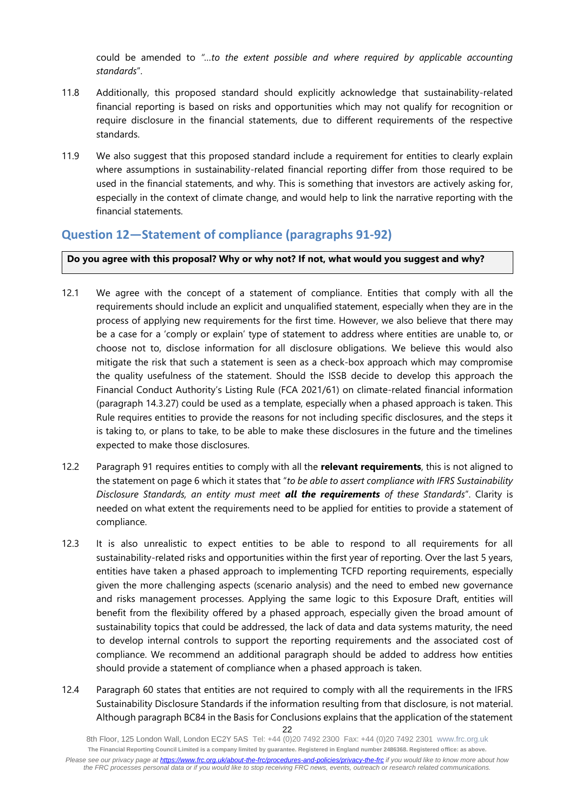could be amended to *"…to the extent possible and where required by applicable accounting standards*".

- 11.8 Additionally, this proposed standard should explicitly acknowledge that sustainability-related financial reporting is based on risks and opportunities which may not qualify for recognition or require disclosure in the financial statements, due to different requirements of the respective standards.
- 11.9 We also suggest that this proposed standard include a requirement for entities to clearly explain where assumptions in sustainability-related financial reporting differ from those required to be used in the financial statements, and why. This is something that investors are actively asking for, especially in the context of climate change, and would help to link the narrative reporting with the financial statements.

## **Question 12—Statement of compliance (paragraphs 91-92)**

**Do you agree with this proposal? Why or why not? If not, what would you suggest and why?**

- 12.1 We agree with the concept of a statement of compliance. Entities that comply with all the requirements should include an explicit and unqualified statement, especially when they are in the process of applying new requirements for the first time. However, we also believe that there may be a case for a 'comply or explain' type of statement to address where entities are unable to, or choose not to, disclose information for all disclosure obligations. We believe this would also mitigate the risk that such a statement is seen as a check-box approach which may compromise the quality usefulness of the statement. Should the ISSB decide to develop this approach the Financial Conduct Authority's Listing Rule (FCA 2021/61) on climate-related financial information (paragraph 14.3.27) could be used as a template, especially when a phased approach is taken. This Rule requires entities to provide the reasons for not including specific disclosures, and the steps it is taking to, or plans to take, to be able to make these disclosures in the future and the timelines expected to make those disclosures.
- 12.2 Paragraph 91 requires entities to comply with all the **relevant requirements**, this is not aligned to the statement on page 6 which it states that "*to be able to assert compliance with IFRS Sustainability Disclosure Standards, an entity must meet all the requirements of these Standards*". Clarity is needed on what extent the requirements need to be applied for entities to provide a statement of compliance.
- 12.3 It is also unrealistic to expect entities to be able to respond to all requirements for all sustainability-related risks and opportunities within the first year of reporting. Over the last 5 years, entities have taken a phased approach to implementing TCFD reporting requirements, especially given the more challenging aspects (scenario analysis) and the need to embed new governance and risks management processes. Applying the same logic to this Exposure Draft, entities will benefit from the flexibility offered by a phased approach, especially given the broad amount of sustainability topics that could be addressed, the lack of data and data systems maturity, the need to develop internal controls to support the reporting requirements and the associated cost of compliance. We recommend an additional paragraph should be added to address how entities should provide a statement of compliance when a phased approach is taken.
- 12.4 Paragraph 60 states that entities are not required to comply with all the requirements in the IFRS Sustainability Disclosure Standards if the information resulting from that disclosure, is not material. Although paragraph BC84 in the Basis for Conclusions explains that the application of the statement

<sup>22</sup>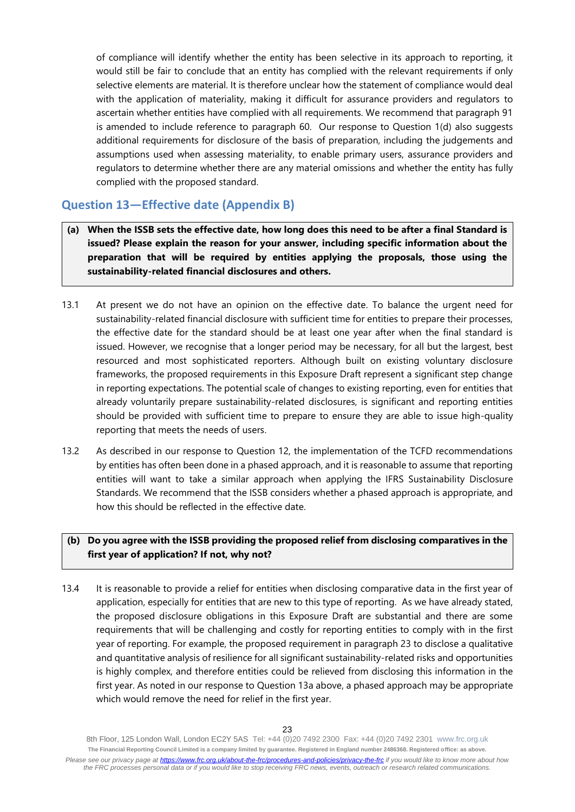of compliance will identify whether the entity has been selective in its approach to reporting, it would still be fair to conclude that an entity has complied with the relevant requirements if only selective elements are material. It is therefore unclear how the statement of compliance would deal with the application of materiality, making it difficult for assurance providers and regulators to ascertain whether entities have complied with all requirements. We recommend that paragraph 91 is amended to include reference to paragraph 60. Our response to Question 1(d) also suggests additional requirements for disclosure of the basis of preparation, including the judgements and assumptions used when assessing materiality, to enable primary users, assurance providers and regulators to determine whether there are any material omissions and whether the entity has fully complied with the proposed standard.

## **Question 13—Effective date (Appendix B)**

- **(a) When the ISSB sets the effective date, how long does this need to be after a final Standard is issued? Please explain the reason for your answer, including specific information about the preparation that will be required by entities applying the proposals, those using the sustainability-related financial disclosures and others.**
- 13.1 At present we do not have an opinion on the effective date. To balance the urgent need for sustainability-related financial disclosure with sufficient time for entities to prepare their processes, the effective date for the standard should be at least one year after when the final standard is issued. However, we recognise that a longer period may be necessary, for all but the largest, best resourced and most sophisticated reporters. Although built on existing voluntary disclosure frameworks, the proposed requirements in this Exposure Draft represent a significant step change in reporting expectations. The potential scale of changes to existing reporting, even for entities that already voluntarily prepare sustainability-related disclosures, is significant and reporting entities should be provided with sufficient time to prepare to ensure they are able to issue high-quality reporting that meets the needs of users.
- 13.2 As described in our response to Question 12, the implementation of the TCFD recommendations by entities has often been done in a phased approach, and it is reasonable to assume that reporting entities will want to take a similar approach when applying the IFRS Sustainability Disclosure Standards. We recommend that the ISSB considers whether a phased approach is appropriate, and how this should be reflected in the effective date.

## **(b) Do you agree with the ISSB providing the proposed relief from disclosing comparatives in the first year of application? If not, why not?**

13.4 It is reasonable to provide a relief for entities when disclosing comparative data in the first year of application, especially for entities that are new to this type of reporting. As we have already stated, the proposed disclosure obligations in this Exposure Draft are substantial and there are some requirements that will be challenging and costly for reporting entities to comply with in the first year of reporting. For example, the proposed requirement in paragraph 23 to disclose a qualitative and quantitative analysis of resilience for all significant sustainability-related risks and opportunities is highly complex, and therefore entities could be relieved from disclosing this information in the first year. As noted in our response to Question 13a above, a phased approach may be appropriate which would remove the need for relief in the first year.

<sup>8</sup>th Floor, 125 London Wall, London EC2Y 5AS Tel: +44 (0)20 7492 2300 Fax: +44 (0)20 7492 2301 [www.frc.org.uk](http://www.frc.org.uk/) **The Financial Reporting Council Limited is a company limited by guarantee. Registered in England number 2486368. Registered office: as above.** *Please see our privacy page at [https://www.frc.org.uk/about-the-frc/procedures-and-policies/privacy-the-frc](https://protect-eu.mimecast.com/s/meSwCVPQETYrOJIgd9IO) if you would like to know more about how the FRC processes personal data or if you would like to stop receiving FRC news, events, outreach or research related communications.*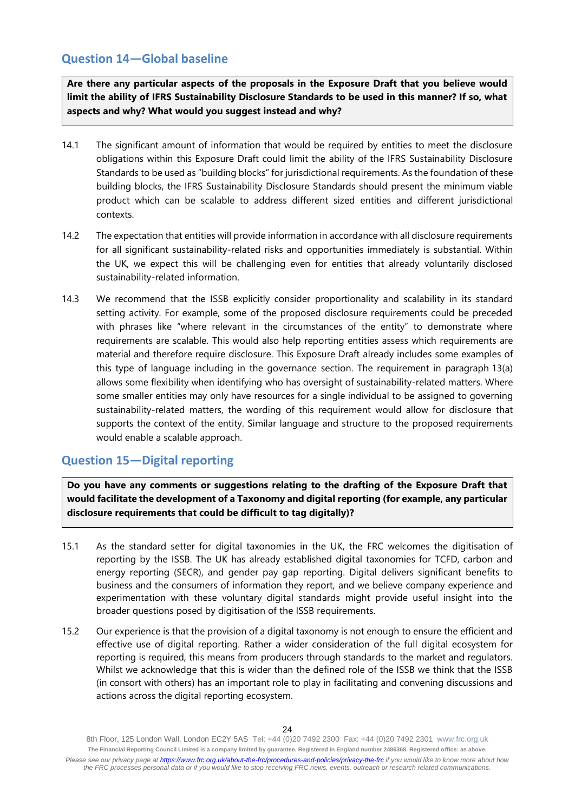# **Question 14—Global baseline**

**Are there any particular aspects of the proposals in the Exposure Draft that you believe would limit the ability of IFRS Sustainability Disclosure Standards to be used in this manner? If so, what aspects and why? What would you suggest instead and why?**

- 14.1 The significant amount of information that would be required by entities to meet the disclosure obligations within this Exposure Draft could limit the ability of the IFRS Sustainability Disclosure Standards to be used as "building blocks" for jurisdictional requirements. As the foundation of these building blocks, the IFRS Sustainability Disclosure Standards should present the minimum viable product which can be scalable to address different sized entities and different jurisdictional contexts.
- 14.2 The expectation that entities will provide information in accordance with all disclosure requirements for all significant sustainability-related risks and opportunities immediately is substantial. Within the UK, we expect this will be challenging even for entities that already voluntarily disclosed sustainability-related information.
- 14.3 We recommend that the ISSB explicitly consider proportionality and scalability in its standard setting activity. For example, some of the proposed disclosure requirements could be preceded with phrases like "where relevant in the circumstances of the entity" to demonstrate where requirements are scalable. This would also help reporting entities assess which requirements are material and therefore require disclosure. This Exposure Draft already includes some examples of this type of language including in the governance section. The requirement in paragraph 13(a) allows some flexibility when identifying who has oversight of sustainability-related matters. Where some smaller entities may only have resources for a single individual to be assigned to governing sustainability-related matters, the wording of this requirement would allow for disclosure that supports the context of the entity. Similar language and structure to the proposed requirements would enable a scalable approach.

# **Question 15—Digital reporting**

**Do you have any comments or suggestions relating to the drafting of the Exposure Draft that would facilitate the development of a Taxonomy and digital reporting (for example, any particular disclosure requirements that could be difficult to tag digitally)?**

- 15.1 As the standard setter for digital taxonomies in the UK, the FRC welcomes the digitisation of reporting by the ISSB. The UK has already established digital taxonomies for TCFD, carbon and energy reporting (SECR), and gender pay gap reporting. Digital delivers significant benefits to business and the consumers of information they report, and we believe company experience and experimentation with these voluntary digital standards might provide useful insight into the broader questions posed by digitisation of the ISSB requirements.
- 15.2 Our experience is that the provision of a digital taxonomy is not enough to ensure the efficient and effective use of digital reporting. Rather a wider consideration of the full digital ecosystem for reporting is required, this means from producers through standards to the market and regulators. Whilst we acknowledge that this is wider than the defined role of the ISSB we think that the ISSB (in consort with others) has an important role to play in facilitating and convening discussions and actions across the digital reporting ecosystem.

<sup>8</sup>th Floor, 125 London Wall, London EC2Y 5AS Tel: +44 (0)20 7492 2300 Fax: +44 (0)20 7492 2301 [www.frc.org.uk](http://www.frc.org.uk/) **The Financial Reporting Council Limited is a company limited by guarantee. Registered in England number 2486368. Registered office: as above.** *Please see our privacy page at [https://www.frc.org.uk/about-the-frc/procedures-and-policies/privacy-the-frc](https://protect-eu.mimecast.com/s/meSwCVPQETYrOJIgd9IO) if you would like to know more about how the FRC processes personal data or if you would like to stop receiving FRC news, events, outreach or research related communications.*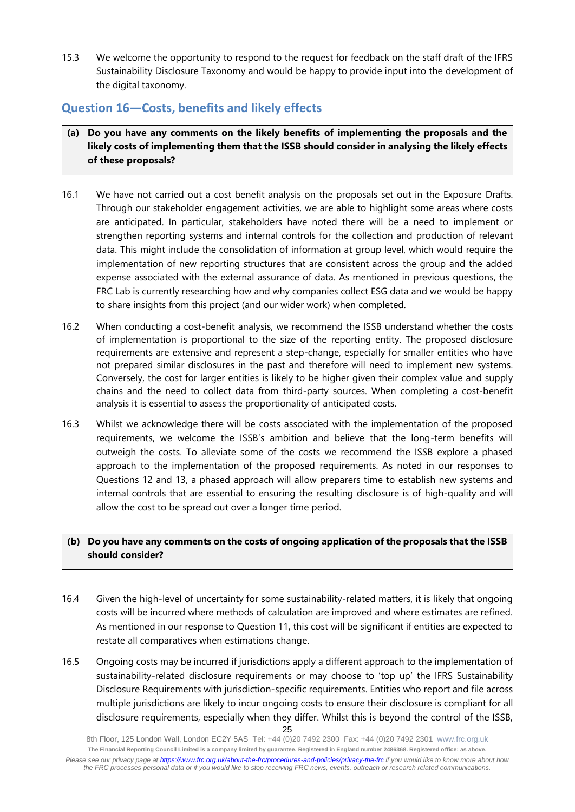15.3 We welcome the opportunity to respond to the request for feedback on the staff draft of the IFRS Sustainability Disclosure Taxonomy and would be happy to provide input into the development of the digital taxonomy.

# **Question 16—Costs, benefits and likely effects**

- **(a) Do you have any comments on the likely benefits of implementing the proposals and the likely costs of implementing them that the ISSB should consider in analysing the likely effects of these proposals?**
- 16.1 We have not carried out a cost benefit analysis on the proposals set out in the Exposure Drafts. Through our stakeholder engagement activities, we are able to highlight some areas where costs are anticipated. In particular, stakeholders have noted there will be a need to implement or strengthen reporting systems and internal controls for the collection and production of relevant data. This might include the consolidation of information at group level, which would require the implementation of new reporting structures that are consistent across the group and the added expense associated with the external assurance of data. As mentioned in previous questions, the FRC Lab is currently researching how and why companies collect ESG data and we would be happy to share insights from this project (and our wider work) when completed.
- 16.2 When conducting a cost-benefit analysis, we recommend the ISSB understand whether the costs of implementation is proportional to the size of the reporting entity. The proposed disclosure requirements are extensive and represent a step-change, especially for smaller entities who have not prepared similar disclosures in the past and therefore will need to implement new systems. Conversely, the cost for larger entities is likely to be higher given their complex value and supply chains and the need to collect data from third-party sources. When completing a cost-benefit analysis it is essential to assess the proportionality of anticipated costs.
- 16.3 Whilst we acknowledge there will be costs associated with the implementation of the proposed requirements, we welcome the ISSB's ambition and believe that the long-term benefits will outweigh the costs. To alleviate some of the costs we recommend the ISSB explore a phased approach to the implementation of the proposed requirements. As noted in our responses to Questions 12 and 13, a phased approach will allow preparers time to establish new systems and internal controls that are essential to ensuring the resulting disclosure is of high-quality and will allow the cost to be spread out over a longer time period.

## **(b) Do you have any comments on the costs of ongoing application of the proposals that the ISSB should consider?**

- 16.4 Given the high-level of uncertainty for some sustainability-related matters, it is likely that ongoing costs will be incurred where methods of calculation are improved and where estimates are refined. As mentioned in our response to Question 11, this cost will be significant if entities are expected to restate all comparatives when estimations change.
- 25 16.5 Ongoing costs may be incurred if jurisdictions apply a different approach to the implementation of sustainability-related disclosure requirements or may choose to 'top up' the IFRS Sustainability Disclosure Requirements with jurisdiction-specific requirements. Entities who report and file across multiple jurisdictions are likely to incur ongoing costs to ensure their disclosure is compliant for all disclosure requirements, especially when they differ. Whilst this is beyond the control of the ISSB,